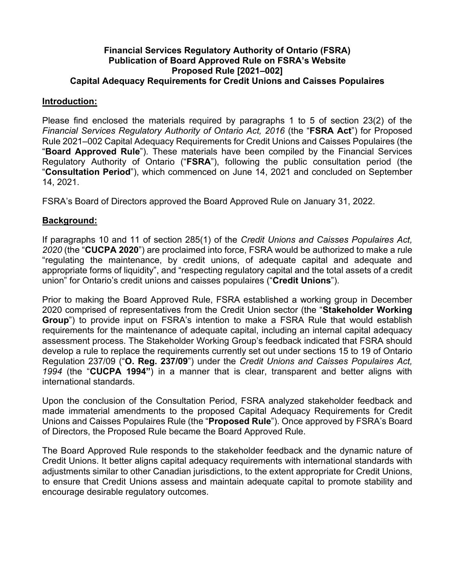### **Financial Services Regulatory Authority of Ontario (FSRA) Publication of Board Approved Rule on FSRA's Website Proposed Rule [2021–002] Capital Adequacy Requirements for Credit Unions and Caisses Populaires**

### **Introduction:**

Please find enclosed the materials required by paragraphs 1 to 5 of section 23(2) of the *Financial Services Regulatory Authority of Ontario Act, 2016* (the "**FSRA Act**") for Proposed Rule 2021–002 Capital Adequacy Requirements for Credit Unions and Caisses Populaires (the "**Board Approved Rule**"). These materials have been compiled by the Financial Services Regulatory Authority of Ontario ("**FSRA**"), following the public consultation period (the "**Consultation Period**"), which commenced on June 14, 2021 and concluded on September 14, 2021.

FSRA's Board of Directors approved the Board Approved Rule on January 31, 2022.

### **Background:**

If paragraphs 10 and 11 of section 285(1) of the *Credit Unions and Caisses Populaires Act, 2020* (the "**CUCPA 2020**") are proclaimed into force, FSRA would be authorized to make a rule "regulating the maintenance, by credit unions, of adequate capital and adequate and appropriate forms of liquidity", and "respecting regulatory capital and the total assets of a credit union" for Ontario's credit unions and caisses populaires ("**Credit Unions**").

Prior to making the Board Approved Rule, FSRA established a working group in December 2020 comprised of representatives from the Credit Union sector (the "**Stakeholder Working Group**") to provide input on FSRA's intention to make a FSRA Rule that would establish requirements for the maintenance of adequate capital, including an internal capital adequacy assessment process. The Stakeholder Working Group's feedback indicated that FSRA should develop a rule to replace the requirements currently set out under sections 15 to 19 of Ontario Regulation 237/09 ("**O. Reg. 237/09**") under the *Credit Unions and Caisses Populaires Act, 1994* (the "**CUCPA 1994"**) in a manner that is clear, transparent and better aligns with international standards.

Upon the conclusion of the Consultation Period, FSRA analyzed stakeholder feedback and made immaterial amendments to the proposed Capital Adequacy Requirements for Credit Unions and Caisses Populaires Rule (the "**Proposed Rule**"). Once approved by FSRA's Board of Directors, the Proposed Rule became the Board Approved Rule.

The Board Approved Rule responds to the stakeholder feedback and the dynamic nature of Credit Unions. It better aligns capital adequacy requirements with international standards with adjustments similar to other Canadian jurisdictions, to the extent appropriate for Credit Unions, to ensure that Credit Unions assess and maintain adequate capital to promote stability and encourage desirable regulatory outcomes.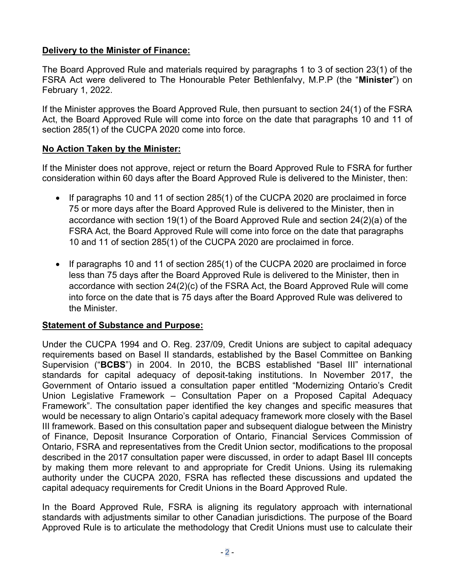# **Delivery to the Minister of Finance:**

The Board Approved Rule and materials required by paragraphs 1 to 3 of section 23(1) of the FSRA Act were delivered to The Honourable Peter Bethlenfalvy, M.P.P (the "**Minister**") on February 1, 2022.

If the Minister approves the Board Approved Rule, then pursuant to section 24(1) of the FSRA Act, the Board Approved Rule will come into force on the date that paragraphs 10 and 11 of section 285(1) of the CUCPA 2020 come into force.

## **No Action Taken by the Minister:**

If the Minister does not approve, reject or return the Board Approved Rule to FSRA for further consideration within 60 days after the Board Approved Rule is delivered to the Minister, then:

- If paragraphs 10 and 11 of section 285(1) of the CUCPA 2020 are proclaimed in force 75 or more days after the Board Approved Rule is delivered to the Minister, then in accordance with section 19(1) of the Board Approved Rule and section 24(2)(a) of the FSRA Act, the Board Approved Rule will come into force on the date that paragraphs 10 and 11 of section 285(1) of the CUCPA 2020 are proclaimed in force.
- If paragraphs 10 and 11 of section 285(1) of the CUCPA 2020 are proclaimed in force less than 75 days after the Board Approved Rule is delivered to the Minister, then in accordance with section 24(2)(c) of the FSRA Act, the Board Approved Rule will come into force on the date that is 75 days after the Board Approved Rule was delivered to the Minister.

# **Statement of Substance and Purpose:**

Under the CUCPA 1994 and O. Reg. 237/09, Credit Unions are subject to capital adequacy requirements based on Basel II standards, established by the Basel Committee on Banking Supervision ("**BCBS**") in 2004. In 2010, the BCBS established "Basel III" international standards for capital adequacy of deposit-taking institutions. In November 2017, the Government of Ontario issued a consultation paper entitled "Modernizing Ontario's Credit Union Legislative Framework – Consultation Paper on a Proposed Capital Adequacy Framework". The consultation paper identified the key changes and specific measures that would be necessary to align Ontario's capital adequacy framework more closely with the Basel III framework. Based on this consultation paper and subsequent dialogue between the Ministry of Finance, Deposit Insurance Corporation of Ontario, Financial Services Commission of Ontario, FSRA and representatives from the Credit Union sector, modifications to the proposal described in the 2017 consultation paper were discussed, in order to adapt Basel III concepts by making them more relevant to and appropriate for Credit Unions. Using its rulemaking authority under the CUCPA 2020, FSRA has reflected these discussions and updated the capital adequacy requirements for Credit Unions in the Board Approved Rule.

In the Board Approved Rule, FSRA is aligning its regulatory approach with international standards with adjustments similar to other Canadian jurisdictions. The purpose of the Board Approved Rule is to articulate the methodology that Credit Unions must use to calculate their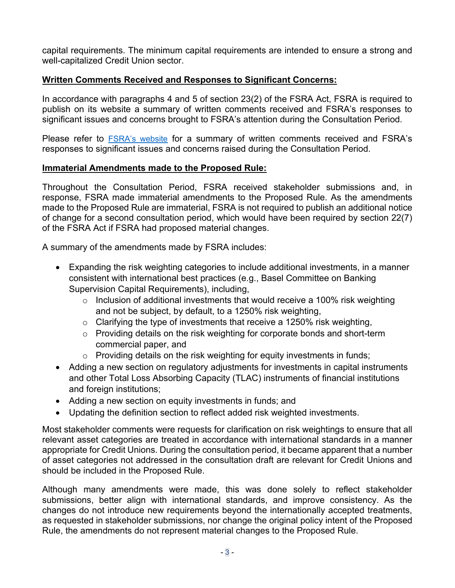capital requirements. The minimum capital requirements are intended to ensure a strong and well-capitalized Credit Union sector.

## **Written Comments Received and Responses to Significant Concerns:**

In accordance with paragraphs 4 and 5 of section 23(2) of the FSRA Act, FSRA is required to publish on its website a summary of written comments received and FSRA's responses to significant issues and concerns brought to FSRA's attention during the Consultation Period.

Please refer to **[FSRA's website](https://www.fsrao.ca/board-approved-draft-capital-adequacy-requirements-credit-unions-and-caisses-populaires-rule-summary-stakeholders-feedback-and-fsras-responses)** for a summary of written comments received and FSRA's responses to significant issues and concerns raised during the Consultation Period.

## **Immaterial Amendments made to the Proposed Rule:**

Throughout the Consultation Period, FSRA received stakeholder submissions and, in response, FSRA made immaterial amendments to the Proposed Rule. As the amendments made to the Proposed Rule are immaterial, FSRA is not required to publish an additional notice of change for a second consultation period, which would have been required by section 22(7) of the FSRA Act if FSRA had proposed material changes.

A summary of the amendments made by FSRA includes:

- Expanding the risk weighting categories to include additional investments, in a manner consistent with international best practices (e.g., Basel Committee on Banking Supervision Capital Requirements), including,
	- $\circ$  Inclusion of additional investments that would receive a 100% risk weighting and not be subject, by default, to a 1250% risk weighting,
	- $\circ$  Clarifying the type of investments that receive a 1250% risk weighting,
	- o Providing details on the risk weighting for corporate bonds and short-term commercial paper, and
	- o Providing details on the risk weighting for equity investments in funds;
- Adding a new section on regulatory adjustments for investments in capital instruments and other Total Loss Absorbing Capacity (TLAC) instruments of financial institutions and foreign institutions;
- Adding a new section on equity investments in funds; and
- Updating the definition section to reflect added risk weighted investments.

Most stakeholder comments were requests for clarification on risk weightings to ensure that all relevant asset categories are treated in accordance with international standards in a manner appropriate for Credit Unions. During the consultation period, it became apparent that a number of asset categories not addressed in the consultation draft are relevant for Credit Unions and should be included in the Proposed Rule.

Although many amendments were made, this was done solely to reflect stakeholder submissions, better align with international standards, and improve consistency. As the changes do not introduce new requirements beyond the internationally accepted treatments, as requested in stakeholder submissions, nor change the original policy intent of the Proposed Rule, the amendments do not represent material changes to the Proposed Rule.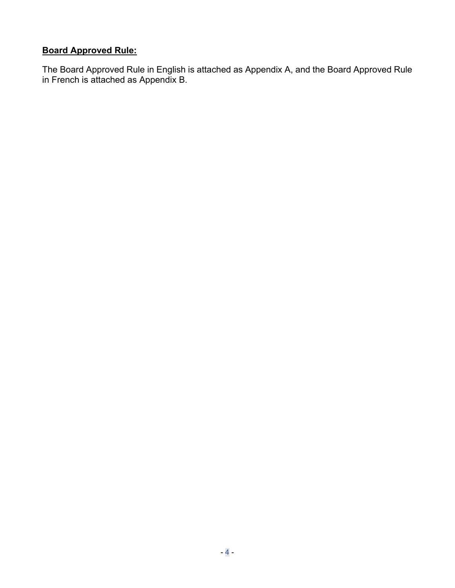# **Board Approved Rule:**

The Board Approved Rule in English is attached as Appendix A, and the Board Approved Rule in French is attached as Appendix B.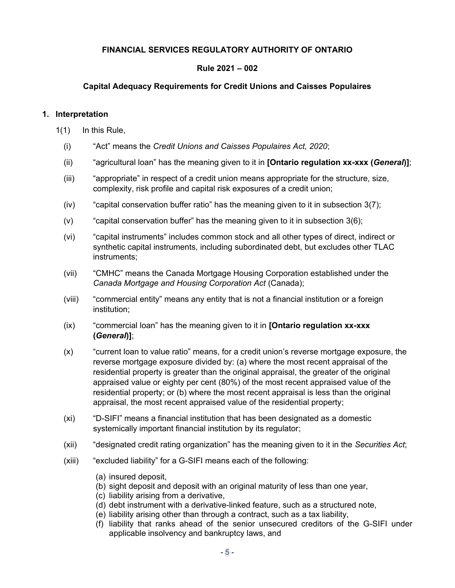### **FINANCIAL SERVICES REGULATORY AUTHORITY OF ONTARIO**

### **Rule 2021 – 002**

### **Capital Adequacy Requirements for Credit Unions and Caisses Populaires**

#### **1. Interpretation**

- 1(1) In this Rule,
	- (i) "Act" means the *Credit Unions and Caisses Populaires Act, 2020*;
	- (ii) "agricultural loan" has the meaning given to it in **[Ontario regulation xx-xxx (***General***)]**;
	- (iii) "appropriate" in respect of a credit union means appropriate for the structure, size, complexity, risk profile and capital risk exposures of a credit union;
	- $(iv)$  "capital conservation buffer ratio" has the meaning given to it in subsection  $3(7)$ ;
	- $(v)$  "capital conservation buffer" has the meaning given to it in subsection  $3(6)$ ;
	- (vi) "capital instruments" includes common stock and all other types of direct, indirect or synthetic capital instruments, including subordinated debt, but excludes other TLAC instruments;
	- (vii) "CMHC" means the Canada Mortgage Housing Corporation established under the *Canada Mortgage and Housing Corporation Act* (Canada);
	- (viii) "commercial entity" means any entity that is not a financial institution or a foreign institution;
	- (ix) "commercial loan" has the meaning given to it in **[Ontario regulation xx-xxx (***General***)]**;
	- (x) "current loan to value ratio" means, for a credit union's reverse mortgage exposure, the reverse mortgage exposure divided by: (a) where the most recent appraisal of the residential property is greater than the original appraisal, the greater of the original appraised value or eighty per cent (80%) of the most recent appraised value of the residential property; or (b) where the most recent appraisal is less than the original appraisal, the most recent appraised value of the residential property;
	- (xi) "D-SIFI" means a financial institution that has been designated as a domestic systemically important financial institution by its regulator;
	- (xii) "designated credit rating organization" has the meaning given to it in the *Securities Act*;
	- (xiii) "excluded liability" for a G-SIFI means each of the following:
		- (a) insured deposit,
		- (b) sight deposit and deposit with an original maturity of less than one year,
		- (c) liability arising from a derivative,
		- (d) debt instrument with a derivative-linked feature, such as a structured note,
		- (e) liability arising other than through a contract, such as a tax liability,
		- (f) liability that ranks ahead of the senior unsecured creditors of the G-SIFI under applicable insolvency and bankruptcy laws, and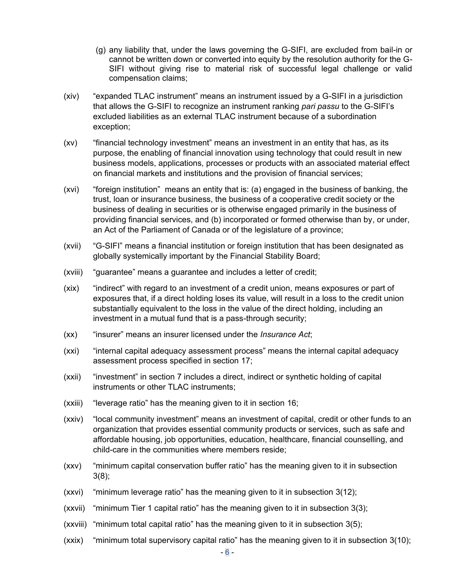- (g) any liability that, under the laws governing the G-SIFI, are excluded from bail-in or cannot be written down or converted into equity by the resolution authority for the G-SIFI without giving rise to material risk of successful legal challenge or valid compensation claims;
- (xiv) "expanded TLAC instrument" means an instrument issued by a G-SIFI in a jurisdiction that allows the G-SIFI to recognize an instrument ranking *pari passu* to the G-SIFI's excluded liabilities as an external TLAC instrument because of a subordination exception;
- (xv) "financial technology investment" means an investment in an entity that has, as its purpose, the enabling of financial innovation using technology that could result in new business models, applications, processes or products with an associated material effect on financial markets and institutions and the provision of financial services;
- (xvi) "foreign institution" means an entity that is: (a) engaged in the business of banking, the trust, loan or insurance business, the business of a cooperative credit society or the business of dealing in securities or is otherwise engaged primarily in the business of providing financial services, and (b) incorporated or formed otherwise than by, or under, an Act of the Parliament of Canada or of the legislature of a province;
- (xvii) "G-SIFI" means a financial institution or foreign institution that has been designated as globally systemically important by the Financial Stability Board;
- (xviii) "guarantee" means a guarantee and includes a letter of credit;
- (xix) "indirect" with regard to an investment of a credit union, means exposures or part of exposures that, if a direct holding loses its value, will result in a loss to the credit union substantially equivalent to the loss in the value of the direct holding, including an investment in a mutual fund that is a pass-through security;
- (xx) "insurer" means an insurer licensed under the *Insurance Act*;
- (xxi) "internal capital adequacy assessment process" means the internal capital adequacy assessment process specified in section [17;](#page-32-0)
- (xxii) "investment" in section [7](#page-15-0) includes a direct, indirect or synthetic holding of capital instruments or other TLAC instruments;
- (xxiii) "leverage ratio" has the meaning given to it in section [16;](#page-31-0)
- (xxiv) "local community investment" means an investment of capital, credit or other funds to an organization that provides essential community products or services, such as safe and affordable housing, job opportunities, education, healthcare, financial counselling, and child-care in the communities where members reside;
- (xxv) "minimum capital conservation buffer ratio" has the meaning given to it in subsection [3\(8\);](#page-9-0)
- (xxvi) "minimum leverage ratio" has the meaning given to it in subsection [3\(12\)](#page-9-0);
- (xxvii) "minimum Tier 1 capital ratio" has the meaning given to it in subsection [3\(3\)](#page-9-0);
- (xxviii) "minimum total capital ratio" has the meaning given to it in subsection [3\(5\);](#page-9-0)
- (xxix) "minimum total supervisory capital ratio" has the meaning given to it in subsection [3\(10\)](#page-9-0);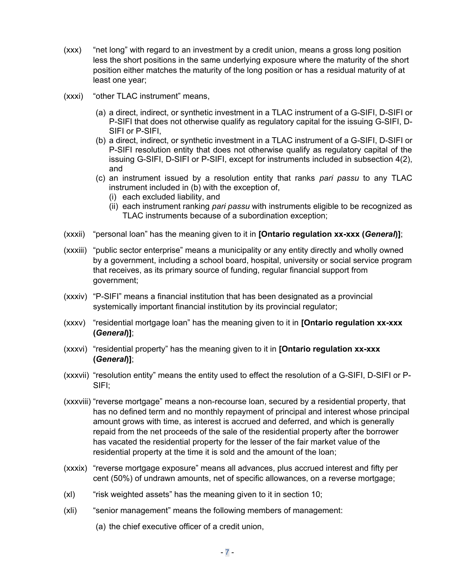- (xxx) "net long" with regard to an investment by a credit union, means a gross long position less the short positions in the same underlying exposure where the maturity of the short position either matches the maturity of the long position or has a residual maturity of at least one year;
- (xxxi) "other TLAC instrument" means,
	- (a) a direct, indirect, or synthetic investment in a TLAC instrument of a G-SIFI, D-SIFI or P-SIFI that does not otherwise qualify as regulatory capital for the issuing G-SIFI, D-SIFI or P-SIFI,
	- (b) a direct, indirect, or synthetic investment in a TLAC instrument of a G-SIFI, D-SIFI or P-SIFI resolution entity that does not otherwise qualify as regulatory capital of the issuing G-SIFI, D-SIFI or P-SIFI, except for instruments included in subsection [4\(2\)](#page-10-0), and
	- (c) an instrument issued by a resolution entity that ranks *pari passu* to any TLAC instrument included in (b) with the exception of,
		- (i) each excluded liability, and
		- (ii) each instrument ranking *pari passu* with instruments eligible to be recognized as TLAC instruments because of a subordination exception;
- (xxxii) "personal loan" has the meaning given to it in **[Ontario regulation xx-xxx (***General***)]**;
- (xxxiii) "public sector enterprise" means a municipality or any entity directly and wholly owned by a government, including a school board, hospital, university or social service program that receives, as its primary source of funding, regular financial support from government;
- (xxxiv) "P-SIFI" means a financial institution that has been designated as a provincial systemically important financial institution by its provincial regulator;
- (xxxv) "residential mortgage loan" has the meaning given to it in **[Ontario regulation xx-xxx (***General***)]**;
- (xxxvi) "residential property" has the meaning given to it in **[Ontario regulation xx-xxx (***General***)]**;
- (xxxvii) "resolution entity" means the entity used to effect the resolution of a G-SIFI, D-SIFI or P-SIFI;
- (xxxviii) "reverse mortgage" means a non-recourse loan, secured by a residential property, that has no defined term and no monthly repayment of principal and interest whose principal amount grows with time, as interest is accrued and deferred, and which is generally repaid from the net proceeds of the sale of the residential property after the borrower has vacated the residential property for the lesser of the fair market value of the residential property at the time it is sold and the amount of the loan;
- (xxxix) "reverse mortgage exposure" means all advances, plus accrued interest and fifty per cent (50%) of undrawn amounts, net of specific allowances, on a reverse mortgage;
- (xl) "risk weighted assets" has the meaning given to it in section [10](#page-18-0);
- (xli) "senior management" means the following members of management:
	- (a) the chief executive officer of a credit union,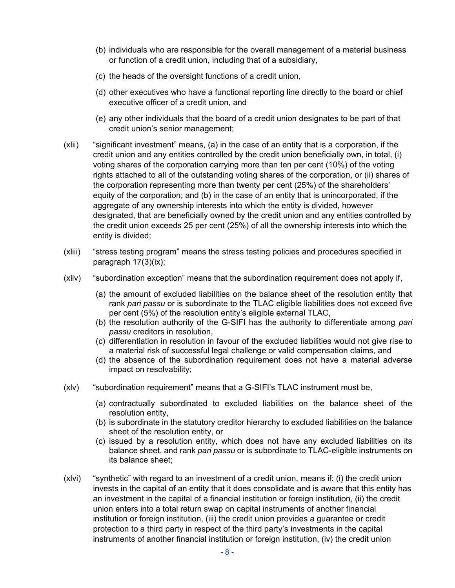- (b) individuals who are responsible for the overall management of a material business or function of a credit union, including that of a subsidiary,
- (c) the heads of the oversight functions of a credit union,
- (d) other executives who have a functional reporting line directly to the board or chief executive officer of a credit union, and
- (e) any other individuals that the board of a credit union designates to be part of that credit union's senior management;
- (xlii) "significant investment" means, (a) in the case of an entity that is a corporation, if the credit union and any entities controlled by the credit union beneficially own, in total, (i) voting shares of the corporation carrying more than ten per cent (10%) of the voting rights attached to all of the outstanding voting shares of the corporation, or (ii) shares of the corporation representing more than twenty per cent (25%) of the shareholders' equity of the corporation; and (b) in the case of an entity that is unincorporated, if the aggregate of any ownership interests into which the entity is divided, however designated, that are beneficially owned by the credit union and any entities controlled by the credit union exceeds 25 per cent (25%) of all the ownership interests into which the entity is divided;
- (xliii) "stress testing program" means the stress testing policies and procedures specified in paragraph [17\(3\)\(ix\)](#page-33-0);
- (xliv) "subordination exception" means that the subordination requirement does not apply if,
	- (a) the amount of excluded liabilities on the balance sheet of the resolution entity that rank *pari passu* or is subordinate to the TLAC eligible liabilities does not exceed five per cent (5%) of the resolution entity's eligible external TLAC,
	- (b) the resolution authority of the G-SIFI has the authority to differentiate among *pari passu* creditors in resolution,
	- (c) differentiation in resolution in favour of the excluded liabilities would not give rise to a material risk of successful legal challenge or valid compensation claims, and
	- (d) the absence of the subordination requirement does not have a material adverse impact on resolvability;
- (xlv) "subordination requirement" means that a G-SIFI's TLAC instrument must be,
	- (a) contractually subordinated to excluded liabilities on the balance sheet of the resolution entity,
	- (b) is subordinate in the statutory creditor hierarchy to excluded liabilities on the balance sheet of the resolution entity, or
	- (c) issued by a resolution entity, which does not have any excluded liabilities on its balance sheet, and rank *pari passu* or is subordinate to TLAC-eligible instruments on its balance sheet;
- (xlvi) "synthetic" with regard to an investment of a credit union, means if: (i) the credit union invests in the capital of an entity that it does consolidate and is aware that this entity has an investment in the capital of a financial institution or foreign institution, (ii) the credit union enters into a total return swap on capital instruments of another financial institution or foreign institution, (iii) the credit union provides a guarantee or credit protection to a third party in respect of the third party's investments in the capital instruments of another financial institution or foreign institution, (iv) the credit union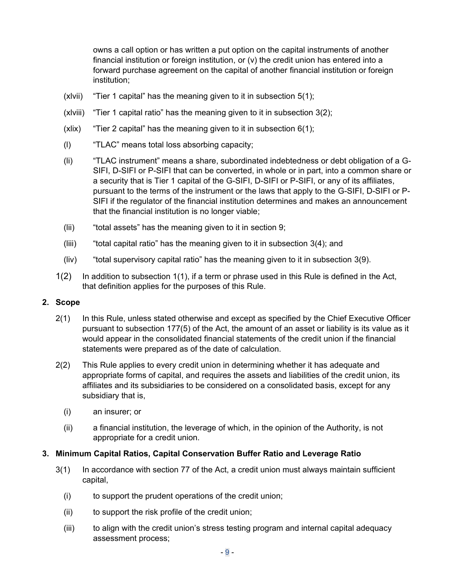<span id="page-8-0"></span>owns a call option or has written a put option on the capital instruments of another financial institution or foreign institution, or (v) the credit union has entered into a forward purchase agreement on the capital of another financial institution or foreign institution;

- (xlvii) "Tier 1 capital" has the meaning given to it in subsection [5\(1\)](#page-10-0);
- (xlviii) "Tier 1 capital ratio" has the meaning given to it in subsection [3\(2\)](#page-9-0);
- (xlix) "Tier 2 capital" has the meaning given to it in subsection  $6(1)$ ;
- (l) "TLAC" means total loss absorbing capacity;
- (li) "TLAC instrument" means a share, subordinated indebtedness or debt obligation of a G-SIFI, D-SIFI or P-SIFI that can be converted, in whole or in part, into a common share or a security that is Tier 1 capital of the G-SIFI, D-SIFI or P-SIFI, or any of its affiliates, pursuant to the terms of the instrument or the laws that apply to the G-SIFI, D-SIFI or P-SIFI if the regulator of the financial institution determines and makes an announcement that the financial institution is no longer viable;
- (lii) "total assets" has the meaning given to it in section [9;](#page-18-0)
- (liii) "total capital ratio" has the meaning given to it in subsection [3\(4\)](#page-9-0); and
- (liv) "total supervisory capital ratio" has the meaning given to it in subsection [3\(9\)](#page-9-0).
- 1(2) In addition to subsection 1(1), if a term or phrase used in this Rule is defined in the Act, that definition applies for the purposes of this Rule.

#### **2. Scope**

- 2(1) In this Rule, unless stated otherwise and except as specified by the Chief Executive Officer pursuant to subsection 177(5) of the Act, the amount of an asset or liability is its value as it would appear in the consolidated financial statements of the credit union if the financial statements were prepared as of the date of calculation.
- 2(2) This Rule applies to every credit union in determining whether it has adequate and appropriate forms of capital, and requires the assets and liabilities of the credit union, its affiliates and its subsidiaries to be considered on a consolidated basis, except for any subsidiary that is,
	- (i) an insurer; or
	- (ii) a financial institution, the leverage of which, in the opinion of the Authority, is not appropriate for a credit union.

#### **3. Minimum Capital Ratios, Capital Conservation Buffer Ratio and Leverage Ratio**

- 3(1) In accordance with section 77 of the Act, a credit union must always maintain sufficient capital,
	- (i) to support the prudent operations of the credit union;
	- (ii) to support the risk profile of the credit union;
	- (iii) to align with the credit union's stress testing program and internal capital adequacy assessment process;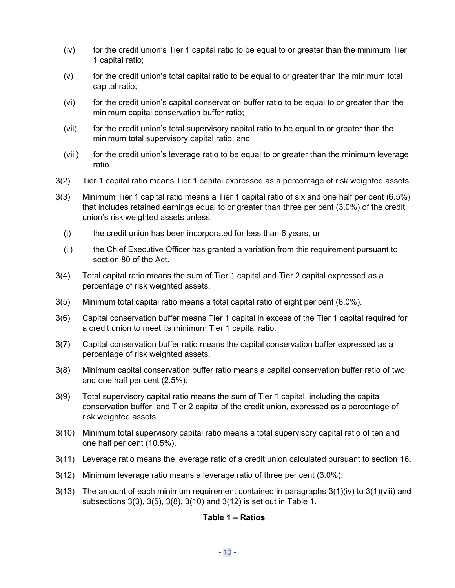- <span id="page-9-0"></span> $(iv)$  for the credit union's Tier 1 capital ratio to be equal to or greater than the minimum Tier 1 capital ratio;
- $(v)$  for the credit union's total capital ratio to be equal to or greater than the minimum total capital ratio;
- (vi) for the credit union's capital conservation buffer ratio to be equal to or greater than the minimum capital conservation buffer ratio;
- (vii) for the credit union's total supervisory capital ratio to be equal to or greater than the minimum total supervisory capital ratio; and
- (viii) for the credit union's leverage ratio to be equal to or greater than the minimum leverage ratio.
- 3(2) Tier 1 capital ratio means Tier 1 capital expressed as a percentage of risk weighted assets.
- 3(3) Minimum Tier 1 capital ratio means a Tier 1 capital ratio of six and one half per cent (6.5%) that includes retained earnings equal to or greater than three per cent (3.0%) of the credit union's risk weighted assets unless,
	- (i) the credit union has been incorporated for less than 6 years, or
	- (ii) the Chief Executive Officer has granted a variation from this requirement pursuant to section 80 of the Act.
- 3(4) Total capital ratio means the sum of Tier 1 capital and Tier 2 capital expressed as a percentage of risk weighted assets.
- 3(5) Minimum total capital ratio means a total capital ratio of eight per cent (8.0%).
- 3(6) Capital conservation buffer means Tier 1 capital in excess of the Tier 1 capital required for a credit union to meet its minimum Tier 1 capital ratio.
- 3(7) Capital conservation buffer ratio means the capital conservation buffer expressed as a percentage of risk weighted assets.
- 3(8) Minimum capital conservation buffer ratio means a capital conservation buffer ratio of two and one half per cent (2.5%).
- 3(9) Total supervisory capital ratio means the sum of Tier 1 capital, including the capital conservation buffer, and Tier 2 capital of the credit union, expressed as a percentage of risk weighted assets.
- 3(10) Minimum total supervisory capital ratio means a total supervisory capital ratio of ten and one half per cent (10.5%).
- 3(11) Leverage ratio means the leverage ratio of a credit union calculated pursuant to section [16.](#page-31-0)
- 3(12) Minimum leverage ratio means a leverage ratio of three per cent (3.0%).
- $3(13)$  The amount of each minimum requirement contained in paragraphs  $3(1)(iv)$  to  $3(1)(v)$  and subsections 3(3), 3(5), 3(8), 3(10) and 3(12) is set out in Table 1.

### **Table 1 – Ratios**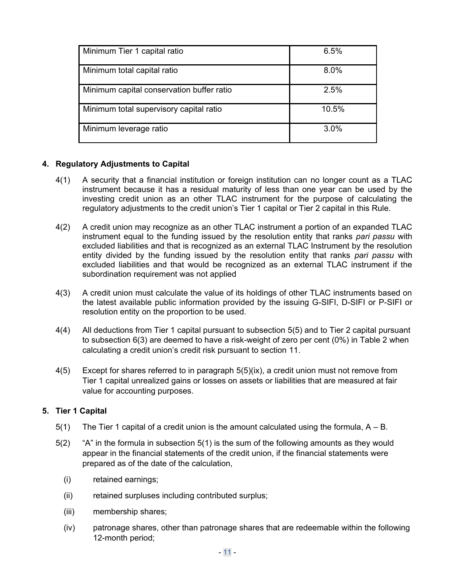<span id="page-10-0"></span>

| Minimum Tier 1 capital ratio              | 6.5%    |
|-------------------------------------------|---------|
| Minimum total capital ratio               | 8.0%    |
| Minimum capital conservation buffer ratio | 2.5%    |
| Minimum total supervisory capital ratio   | 10.5%   |
| Minimum leverage ratio                    | $3.0\%$ |

### **4. Regulatory Adjustments to Capital**

- 4(1) A security that a financial institution or foreign institution can no longer count as a TLAC instrument because it has a residual maturity of less than one year can be used by the investing credit union as an other TLAC instrument for the purpose of calculating the regulatory adjustments to the credit union's Tier 1 capital or Tier 2 capital in this Rule.
- 4(2) A credit union may recognize as an other TLAC instrument a portion of an expanded TLAC instrument equal to the funding issued by the resolution entity that ranks *pari passu* with excluded liabilities and that is recognized as an external TLAC Instrument by the resolution entity divided by the funding issued by the resolution entity that ranks *pari passu* with excluded liabilities and that would be recognized as an external TLAC instrument if the subordination requirement was not applied
- 4(3) A credit union must calculate the value of its holdings of other TLAC instruments based on the latest available public information provided by the issuing G-SIFI, D-SIFI or P-SIFI or resolution entity on the proportion to be used.
- 4(4) All deductions from Tier 1 capital pursuant to subsection [5\(5\)](#page-12-0) and to Tier 2 capital pursuant to subsection [6\(3\)](#page-13-0) are deemed to have a risk-weight of zero per cent (0%) in Table 2 when calculating a credit union's credit risk pursuant to section [11.](#page-19-0)
- 4(5) Except for shares referred to in paragraph [5\(5\)\(ix\)](#page-13-0), a credit union must not remove from Tier 1 capital unrealized gains or losses on assets or liabilities that are measured at fair value for accounting purposes.

### **5. Tier 1 Capital**

- $5(1)$  The Tier 1 capital of a credit union is the amount calculated using the formula,  $A B$ .
- 5(2) "A" in the formula in subsection 5(1) is the sum of the following amounts as they would appear in the financial statements of the credit union, if the financial statements were prepared as of the date of the calculation,
	- (i) retained earnings;
	- (ii) retained surpluses including contributed surplus;
	- (iii) membership shares;
	- (iv) patronage shares, other than patronage shares that are redeemable within the following 12-month period;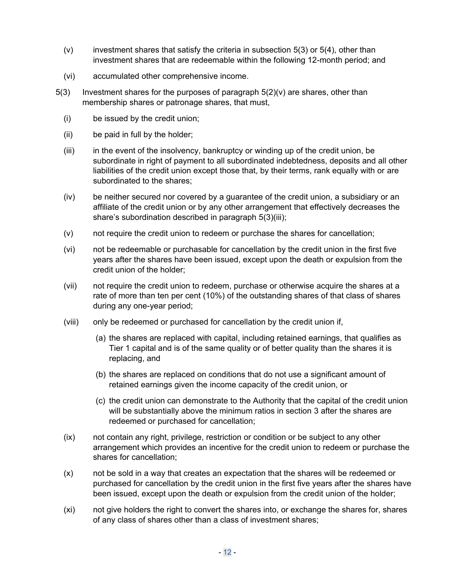- <span id="page-11-0"></span> $(v)$  investment shares that satisfy the criteria in subsection 5(3) or [5\(4\),](#page-12-0) other than investment shares that are redeemable within the following 12-month period; and
- (vi) accumulated other comprehensive income.
- $5(3)$  Investment shares for the purposes of paragraph  $5(2)(v)$  are shares, other than membership shares or patronage shares, that must,
	- (i) be issued by the credit union;
	- (ii) be paid in full by the holder;
	- (iii) in the event of the insolvency, bankruptcy or winding up of the credit union, be subordinate in right of payment to all subordinated indebtedness, deposits and all other liabilities of the credit union except those that, by their terms, rank equally with or are subordinated to the shares;
	- (iv) be neither secured nor covered by a guarantee of the credit union, a subsidiary or an affiliate of the credit union or by any other arrangement that effectively decreases the share's subordination described in paragraph 5(3)(iii);
	- (v) not require the credit union to redeem or purchase the shares for cancellation;
	- (vi) not be redeemable or purchasable for cancellation by the credit union in the first five years after the shares have been issued, except upon the death or expulsion from the credit union of the holder;
	- (vii) not require the credit union to redeem, purchase or otherwise acquire the shares at a rate of more than ten per cent (10%) of the outstanding shares of that class of shares during any one-year period;
	- (viii) only be redeemed or purchased for cancellation by the credit union if,
		- (a) the shares are replaced with capital, including retained earnings, that qualifies as Tier 1 capital and is of the same quality or of better quality than the shares it is replacing, and
		- (b) the shares are replaced on conditions that do not use a significant amount of retained earnings given the income capacity of the credit union, or
		- (c) the credit union can demonstrate to the Authority that the capital of the credit union will be substantially above the minimum ratios in section [3](#page-8-0) after the shares are redeemed or purchased for cancellation;
	- (ix) not contain any right, privilege, restriction or condition or be subject to any other arrangement which provides an incentive for the credit union to redeem or purchase the shares for cancellation;
	- (x) not be sold in a way that creates an expectation that the shares will be redeemed or purchased for cancellation by the credit union in the first five years after the shares have been issued, except upon the death or expulsion from the credit union of the holder;
	- (xi) not give holders the right to convert the shares into, or exchange the shares for, shares of any class of shares other than a class of investment shares;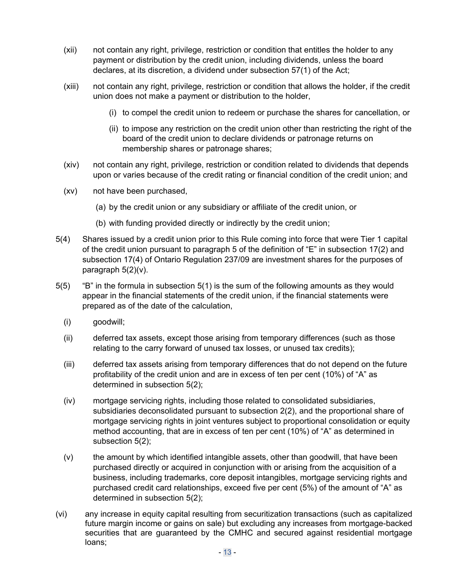- <span id="page-12-0"></span>(xii) not contain any right, privilege, restriction or condition that entitles the holder to any payment or distribution by the credit union, including dividends, unless the board declares, at its discretion, a dividend under subsection 57(1) of the Act;
- (xiii) not contain any right, privilege, restriction or condition that allows the holder, if the credit union does not make a payment or distribution to the holder,
	- (i) to compel the credit union to redeem or purchase the shares for cancellation, or
	- (ii) to impose any restriction on the credit union other than restricting the right of the board of the credit union to declare dividends or patronage returns on membership shares or patronage shares;
- (xiv) not contain any right, privilege, restriction or condition related to dividends that depends upon or varies because of the credit rating or financial condition of the credit union; and
- (xv) not have been purchased,
	- (a) by the credit union or any subsidiary or affiliate of the credit union, or
	- (b) with funding provided directly or indirectly by the credit union;
- 5(4) Shares issued by a credit union prior to this Rule coming into force that were Tier 1 capital of the credit union pursuant to paragraph 5 of the definition of "E" in subsection 17(2) and subsection 17(4) of Ontario Regulation 237/09 are investment shares for the purposes of paragraph [5\(2\)\(v\).](#page-11-0)
- 5(5) "B" in the formula in subsection [5\(1\)](#page-10-0) is the sum of the following amounts as they would appear in the financial statements of the credit union, if the financial statements were prepared as of the date of the calculation,
	- (i) goodwill;
	- (ii) deferred tax assets, except those arising from temporary differences (such as those relating to the carry forward of unused tax losses, or unused tax credits);
	- (iii) deferred tax assets arising from temporary differences that do not depend on the future profitability of the credit union and are in excess of ten per cent (10%) of "A" as determined in subsection [5\(2\)](#page-10-0);
	- (iv) mortgage servicing rights, including those related to consolidated subsidiaries, subsidiaries deconsolidated pursuant to subsection [2\(2\),](#page-8-0) and the proportional share of mortgage servicing rights in joint ventures subject to proportional consolidation or equity method accounting, that are in excess of ten per cent (10%) of "A" as determined in subsection [5\(2\)](#page-10-0);
	- (v) the amount by which identified intangible assets, other than goodwill, that have been purchased directly or acquired in conjunction with or arising from the acquisition of a business, including trademarks, core deposit intangibles, mortgage servicing rights and purchased credit card relationships, exceed five per cent (5%) of the amount of "A" as determined in subsection [5\(2\)](#page-10-0);
- (vi) any increase in equity capital resulting from securitization transactions (such as capitalized future margin income or gains on sale) but excluding any increases from mortgage-backed securities that are guaranteed by the CMHC and secured against residential mortgage loans;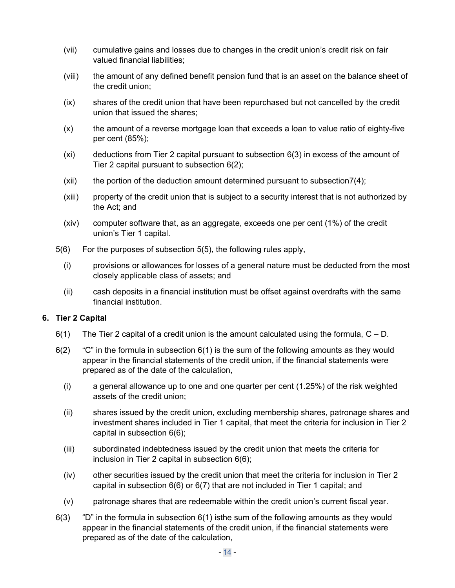- <span id="page-13-0"></span>(vii) cumulative gains and losses due to changes in the credit union's credit risk on fair valued financial liabilities;
- (viii) the amount of any defined benefit pension fund that is an asset on the balance sheet of the credit union;
- (ix) shares of the credit union that have been repurchased but not cancelled by the credit union that issued the shares;
- (x) the amount of a reverse mortgage loan that exceeds a loan to value ratio of eighty-five per cent (85%);
- (xi) deductions from Tier 2 capital pursuant to subsection 6(3) in excess of the amount of Tier 2 capital pursuant to subsection 6(2);
- $(xii)$  the portion of the deduction amount determined pursuant to subsection  $7(4)$ ;
- (xiii) property of the credit union that is subject to a security interest that is not authorized by the Act; and
- (xiv) computer software that, as an aggregate, exceeds one per cent (1%) of the credit union's Tier 1 capital.
- 5(6) For the purposes of subsection [5\(5\),](#page-12-0) the following rules apply,
	- (i) provisions or allowances for losses of a general nature must be deducted from the most closely applicable class of assets; and
	- (ii) cash deposits in a financial institution must be offset against overdrafts with the same financial institution.

#### **6. Tier 2 Capital**

- $6(1)$  The Tier 2 capital of a credit union is the amount calculated using the formula,  $C D$ .
- $6(2)$  "C" in the formula in subsection  $6(1)$  is the sum of the following amounts as they would appear in the financial statements of the credit union, if the financial statements were prepared as of the date of the calculation,
	- (i) a general allowance up to one and one quarter per cent (1.25%) of the risk weighted assets of the credit union;
	- (ii) shares issued by the credit union, excluding membership shares, patronage shares and investment shares included in Tier 1 capital, that meet the criteria for inclusion in Tier 2 capital in subsection [6\(6\);](#page-14-0)
	- (iii) subordinated indebtedness issued by the credit union that meets the criteria for inclusion in Tier 2 capital in subsection [6\(6\);](#page-14-0)
	- (iv) other securities issued by the credit union that meet the criteria for inclusion in Tier 2 capital in subsection [6\(6\)](#page-14-0) or [6\(7\)](#page-15-0) that are not included in Tier 1 capital; and
	- (v) patronage shares that are redeemable within the credit union's current fiscal year.
- $6(3)$  "D" in the formula in subsection  $6(1)$  isthe sum of the following amounts as they would appear in the financial statements of the credit union, if the financial statements were prepared as of the date of the calculation,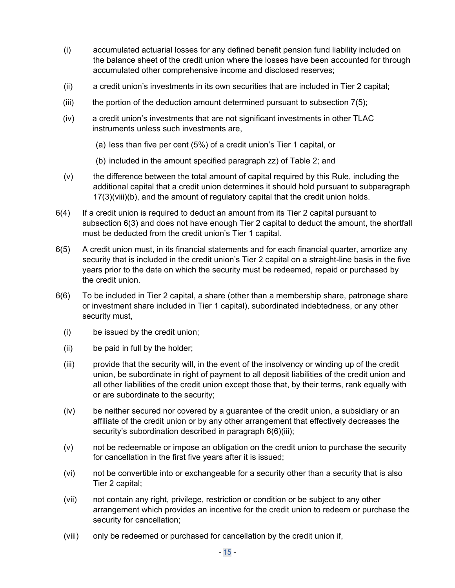- <span id="page-14-0"></span>(i) accumulated actuarial losses for any defined benefit pension fund liability included on the balance sheet of the credit union where the losses have been accounted for through accumulated other comprehensive income and disclosed reserves;
- (ii) a credit union's investments in its own securities that are included in Tier 2 capital;
- (iii) the portion of the deduction amount determined pursuant to subsection  $7(5)$ ;
- (iv) a credit union's investments that are not significant investments in other TLAC instruments unless such investments are,
	- (a) less than five per cent (5%) of a credit union's Tier 1 capital, or
	- (b) included in the amount specified paragraph [zz\)](#page-22-0) of Table 2; and
- (v) the difference between the total amount of capital required by this Rule, including the additional capital that a credit union determines it should hold pursuant to subparagraph [17\(3\)\(viii\)\(b\),](#page-33-0) and the amount of regulatory capital that the credit union holds.
- 6(4) If a credit union is required to deduct an amount from its Tier 2 capital pursuant to subsection [6\(3\)](#page-13-0) and does not have enough Tier 2 capital to deduct the amount, the shortfall must be deducted from the credit union's Tier 1 capital.
- 6(5) A credit union must, in its financial statements and for each financial quarter, amortize any security that is included in the credit union's Tier 2 capital on a straight-line basis in the five years prior to the date on which the security must be redeemed, repaid or purchased by the credit union.
- 6(6) To be included in Tier 2 capital, a share (other than a membership share, patronage share or investment share included in Tier 1 capital), subordinated indebtedness, or any other security must,
	- (i) be issued by the credit union;
	- (ii) be paid in full by the holder;
	- (iii) provide that the security will, in the event of the insolvency or winding up of the credit union, be subordinate in right of payment to all deposit liabilities of the credit union and all other liabilities of the credit union except those that, by their terms, rank equally with or are subordinate to the security;
	- (iv) be neither secured nor covered by a guarantee of the credit union, a subsidiary or an affiliate of the credit union or by any other arrangement that effectively decreases the security's subordination described in paragraph 6(6)(iii);
	- (v) not be redeemable or impose an obligation on the credit union to purchase the security for cancellation in the first five years after it is issued;
	- (vi) not be convertible into or exchangeable for a security other than a security that is also Tier 2 capital;
	- (vii) not contain any right, privilege, restriction or condition or be subject to any other arrangement which provides an incentive for the credit union to redeem or purchase the security for cancellation;
	- (viii) only be redeemed or purchased for cancellation by the credit union if,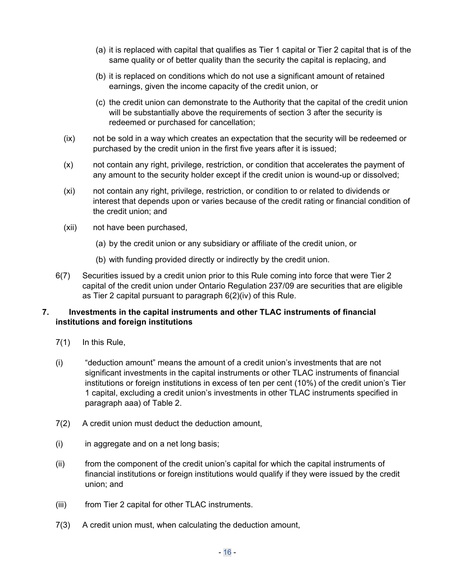- <span id="page-15-0"></span>(a) it is replaced with capital that qualifies as Tier 1 capital or Tier 2 capital that is of the same quality or of better quality than the security the capital is replacing, and
- (b) it is replaced on conditions which do not use a significant amount of retained earnings, given the income capacity of the credit union, or
- (c) the credit union can demonstrate to the Authority that the capital of the credit union will be substantially above the requirements of section [3](#page-8-0) after the security is redeemed or purchased for cancellation;
- (ix) not be sold in a way which creates an expectation that the security will be redeemed or purchased by the credit union in the first five years after it is issued;
- (x) not contain any right, privilege, restriction, or condition that accelerates the payment of any amount to the security holder except if the credit union is wound-up or dissolved;
- (xi) not contain any right, privilege, restriction, or condition to or related to dividends or interest that depends upon or varies because of the credit rating or financial condition of the credit union; and
- (xii) not have been purchased,
	- (a) by the credit union or any subsidiary or affiliate of the credit union, or
	- (b) with funding provided directly or indirectly by the credit union.
- 6(7) Securities issued by a credit union prior to this Rule coming into force that were Tier 2 capital of the credit union under Ontario Regulation 237/09 are securities that are eligible as Tier 2 capital pursuant to paragraph [6\(2\)\(iv\)](#page-13-0) of this Rule.

### **7. Investments in the capital instruments and other TLAC instruments of financial institutions and foreign institutions**

- 7(1) In this Rule,
- (i) "deduction amount" means the amount of a credit union's investments that are not significant investments in the capital instruments or other TLAC instruments of financial institutions or foreign institutions in excess of ten per cent (10%) of the credit union's Tier 1 capital, excluding a credit union's investments in other TLAC instruments specified in paragraph [aaa\)](#page-23-0) of Table 2.
- 7(2) A credit union must deduct the deduction amount,
- (i) in aggregate and on a net long basis;
- (ii) from the component of the credit union's capital for which the capital instruments of financial institutions or foreign institutions would qualify if they were issued by the credit union; and
- (iii) from Tier 2 capital for other TLAC instruments.
- 7(3) A credit union must, when calculating the deduction amount,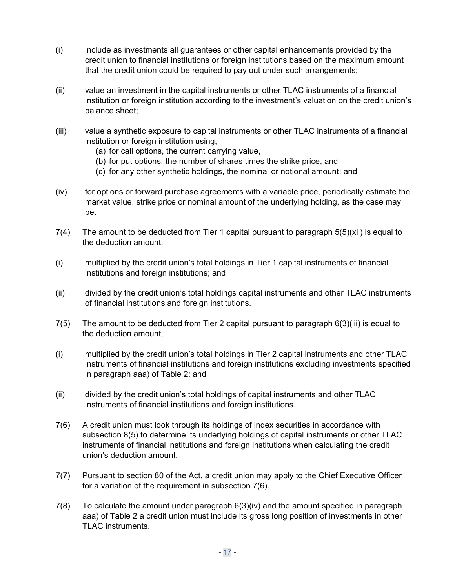- <span id="page-16-0"></span>(i) include as investments all guarantees or other capital enhancements provided by the credit union to financial institutions or foreign institutions based on the maximum amount that the credit union could be required to pay out under such arrangements;
- (ii) value an investment in the capital instruments or other TLAC instruments of a financial institution or foreign institution according to the investment's valuation on the credit union's balance sheet;
- (iii) value a synthetic exposure to capital instruments or other TLAC instruments of a financial institution or foreign institution using,
	- (a) for call options, the current carrying value,
	- (b) for put options, the number of shares times the strike price, and
	- (c) for any other synthetic holdings, the nominal or notional amount; and
- (iv) for options or forward purchase agreements with a variable price, periodically estimate the market value, strike price or nominal amount of the underlying holding, as the case may be.
- 7(4) The amount to be deducted from Tier 1 capital pursuant to paragraph [5\(5\)\(xii\)](#page-13-0) is equal to the deduction amount,
- (i) multiplied by the credit union's total holdings in Tier 1 capital instruments of financial institutions and foreign institutions; and
- (ii) divided by the credit union's total holdings capital instruments and other TLAC instruments of financial institutions and foreign institutions.
- 7(5) The amount to be deducted from Tier 2 capital pursuant to paragraph [6\(3\)\(iii\)](#page-14-0) is equal to the deduction amount,
- (i) multiplied by the credit union's total holdings in Tier 2 capital instruments and other TLAC instruments of financial institutions and foreign institutions excluding investments specified in paragraph [aaa\)](#page-23-0) of Table 2; and
- (ii) divided by the credit union's total holdings of capital instruments and other TLAC instruments of financial institutions and foreign institutions.
- 7(6) A credit union must look through its holdings of index securities in accordance with subsection [8\(5\)](#page-17-0) to determine its underlying holdings of capital instruments or other TLAC instruments of financial institutions and foreign institutions when calculating the credit union's deduction amount.
- 7(7) Pursuant to section 80 of the Act, a credit union may apply to the Chief Executive Officer for a variation of the requirement in subsection 7(6).
- 7(8) To calculate the amount under paragraph [6\(3\)\(iv\)](#page-14-0) and the amount specified in paragraph [aaa\)](#page-23-0) of Table 2 a credit union must include its gross long position of investments in other TLAC instruments.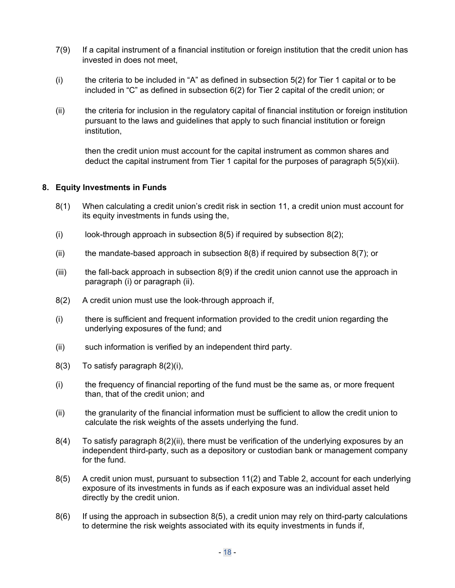- <span id="page-17-0"></span>7(9) If a capital instrument of a financial institution or foreign institution that the credit union has invested in does not meet,
- (i) the criteria to be included in "A" as defined in subsection  $5(2)$  for Tier 1 capital or to be included in "C" as defined in subsection [6\(2\)](#page-13-0) for Tier 2 capital of the credit union; or
- (ii) the criteria for inclusion in the regulatory capital of financial institution or foreign institution pursuant to the laws and guidelines that apply to such financial institution or foreign institution,

then the credit union must account for the capital instrument as common shares and deduct the capital instrument from Tier 1 capital for the purposes of paragraph [5\(5\)\(xii\).](#page-13-0)

#### **8. Equity Investments in Funds**

- 8(1) When calculating a credit union's credit risk in section [11,](#page-19-0) a credit union must account for its equity investments in funds using the,
- (i) look-through approach in subsection  $8(5)$  if required by subsection  $8(2)$ ;
- (ii) the mandate-based approach in subsection  $8(8)$  if required by subsection  $8(7)$ ; or
- $(iii)$  the fall-back approach in subsection  $8(9)$  if the credit union cannot use the approach in paragraph (i) or paragraph (ii).
- 8(2) A credit union must use the look-through approach if,
- (i) there is sufficient and frequent information provided to the credit union regarding the underlying exposures of the fund; and
- (ii) such information is verified by an independent third party.
- 8(3) To satisfy paragraph 8(2)(i),
- (i) the frequency of financial reporting of the fund must be the same as, or more frequent than, that of the credit union; and
- (ii) the granularity of the financial information must be sufficient to allow the credit union to calculate the risk weights of the assets underlying the fund.
- 8(4) To satisfy paragraph 8(2)(ii), there must be verification of the underlying exposures by an independent third-party, such as a depository or custodian bank or management company for the fund.
- 8(5) A credit union must, pursuant to subsection [11\(2\)](#page-19-0) and Table 2, account for each underlying exposure of its investments in funds as if each exposure was an individual asset held directly by the credit union.
- 8(6) If using the approach in subsection 8(5), a credit union may rely on third-party calculations to determine the risk weights associated with its equity investments in funds if,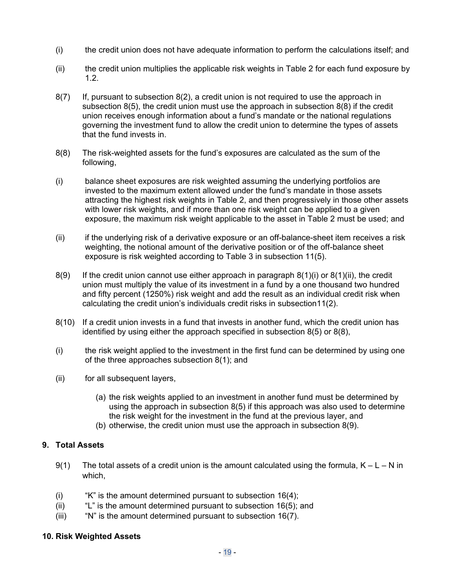- <span id="page-18-0"></span>(i) the credit union does not have adequate information to perform the calculations itself; and
- (ii) the credit union multiplies the applicable risk weights in Table 2 for each fund exposure by 1.2.
- 8(7) If, pursuant to subsection [8\(2\)](#page-17-0), a credit union is not required to use the approach in subsection [8\(5\)](#page-17-0), the credit union must use the approach in subsection 8(8) if the credit union receives enough information about a fund's mandate or the national regulations governing the investment fund to allow the credit union to determine the types of assets that the fund invests in.
- 8(8) The risk-weighted assets for the fund's exposures are calculated as the sum of the following,
- (i) balance sheet exposures are risk weighted assuming the underlying portfolios are invested to the maximum extent allowed under the fund's mandate in those assets attracting the highest risk weights in Table 2, and then progressively in those other assets with lower risk weights, and if more than one risk weight can be applied to a given exposure, the maximum risk weight applicable to the asset in Table 2 must be used; and
- (ii) if the underlying risk of a derivative exposure or an off-balance-sheet item receives a risk weighting, the notional amount of the derivative position or of the off-balance sheet exposure is risk weighted according to Table 3 in subsection [11\(5\).](#page-25-0)
- 8(9) If the credit union cannot use either approach in paragraph  $8(1)(i)$  or  $8(1)(ii)$ , the credit union must multiply the value of its investment in a fund by a one thousand two hundred and fifty percent (1250%) risk weight and add the result as an individual credit risk when calculating the credit union's individuals credit risks in subsectio[n11\(2\)](#page-19-0).
- 8(10) If a credit union invests in a fund that invests in another fund, which the credit union has identified by using either the approach specified in subsection [8\(5\)](#page-17-0) or 8(8),
- (i) the risk weight applied to the investment in the first fund can be determined by using one of the three approaches subsection [8\(1\);](#page-17-0) and
- (ii) for all subsequent layers,
	- (a) the risk weights applied to an investment in another fund must be determined by using the approach in subsection [8\(5\)](#page-17-0) if this approach was also used to determine the risk weight for the investment in the fund at the previous layer, and
	- (b) otherwise, the credit union must use the approach in subsection 8(9).

#### **9. Total Assets**

- 9(1) The total assets of a credit union is the amount calculated using the formula,  $K L N$  in which,
- (i)  $\frac{1}{16}(4)$ : "K" is the amount determined pursuant to subsection [16\(4\);](#page-32-0)
- (ii)  $"L"$  is the amount determined pursuant to subsection [16\(5\);](#page-32-0) and
- (iii) "N" is the amount determined pursuant to subsection [16\(7\)](#page-32-0).

#### **10. Risk Weighted Assets**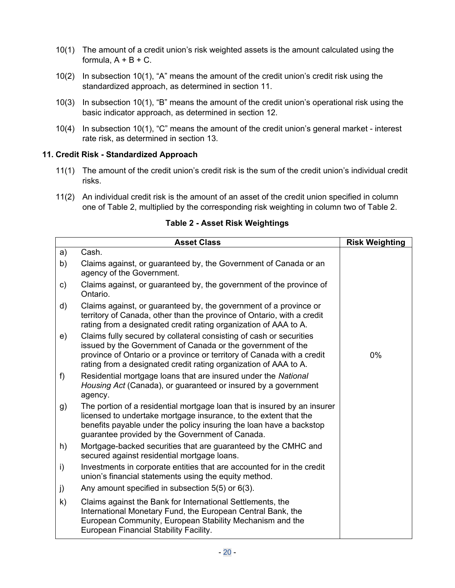- <span id="page-19-0"></span>10(1) The amount of a credit union's risk weighted assets is the amount calculated using the formula,  $A + B + C$ .
- 10(2) In subsection 10(1), "A" means the amount of the credit union's credit risk using the standardized approach, as determined in section 11.
- 10(3) In subsection 10(1), "B" means the amount of the credit union's operational risk using the basic indicator approach, as determined in section [12.](#page-28-0)
- 10(4) In subsection 10(1), "C" means the amount of the credit union's general market interest rate risk, as determined in section [13.](#page-28-0)

### **11. Credit Risk - Standardized Approach**

- 11(1) The amount of the credit union's credit risk is the sum of the credit union's individual credit risks.
- 11(2) An individual credit risk is the amount of an asset of the credit union specified in column one of Table 2, multiplied by the corresponding risk weighting in column two of Table 2.

|    | <b>Asset Class</b>                                                                                                                                                                                                                                                               | <b>Risk Weighting</b> |
|----|----------------------------------------------------------------------------------------------------------------------------------------------------------------------------------------------------------------------------------------------------------------------------------|-----------------------|
| a) | Cash.                                                                                                                                                                                                                                                                            |                       |
| b) | Claims against, or guaranteed by, the Government of Canada or an<br>agency of the Government.                                                                                                                                                                                    |                       |
| c) | Claims against, or guaranteed by, the government of the province of<br>Ontario.                                                                                                                                                                                                  |                       |
| d) | Claims against, or guaranteed by, the government of a province or<br>territory of Canada, other than the province of Ontario, with a credit<br>rating from a designated credit rating organization of AAA to A.                                                                  |                       |
| e) | Claims fully secured by collateral consisting of cash or securities<br>issued by the Government of Canada or the government of the<br>province of Ontario or a province or territory of Canada with a credit<br>rating from a designated credit rating organization of AAA to A. | $0\%$                 |
| f) | Residential mortgage loans that are insured under the National<br>Housing Act (Canada), or guaranteed or insured by a government<br>agency.                                                                                                                                      |                       |
| g) | The portion of a residential mortgage loan that is insured by an insurer<br>licensed to undertake mortgage insurance, to the extent that the<br>benefits payable under the policy insuring the loan have a backstop<br>guarantee provided by the Government of Canada.           |                       |
| h) | Mortgage-backed securities that are guaranteed by the CMHC and<br>secured against residential mortgage loans.                                                                                                                                                                    |                       |
| i) | Investments in corporate entities that are accounted for in the credit<br>union's financial statements using the equity method.                                                                                                                                                  |                       |
| j) | Any amount specified in subsection $5(5)$ or $6(3)$ .                                                                                                                                                                                                                            |                       |
| k) | Claims against the Bank for International Settlements, the<br>International Monetary Fund, the European Central Bank, the<br>European Community, European Stability Mechanism and the<br>European Financial Stability Facility.                                                  |                       |

**Table 2 - Asset Risk Weightings**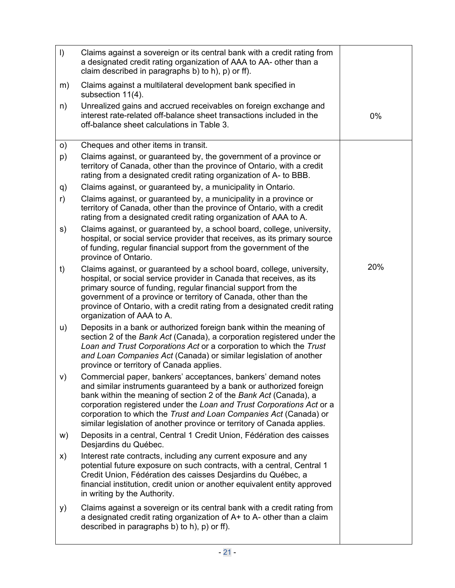<span id="page-20-0"></span>

| $\vert$ | Claims against a sovereign or its central bank with a credit rating from<br>a designated credit rating organization of AAA to AA- other than a<br>claim described in paragraphs b) to h), $p$ ) or ff).                                                                                                                                                                                                                          |     |
|---------|----------------------------------------------------------------------------------------------------------------------------------------------------------------------------------------------------------------------------------------------------------------------------------------------------------------------------------------------------------------------------------------------------------------------------------|-----|
| m)      | Claims against a multilateral development bank specified in<br>subsection 11(4).                                                                                                                                                                                                                                                                                                                                                 |     |
| n)      | Unrealized gains and accrued receivables on foreign exchange and<br>interest rate-related off-balance sheet transactions included in the<br>off-balance sheet calculations in Table 3.                                                                                                                                                                                                                                           | 0%  |
| o)      | Cheques and other items in transit.                                                                                                                                                                                                                                                                                                                                                                                              |     |
| p)      | Claims against, or guaranteed by, the government of a province or<br>territory of Canada, other than the province of Ontario, with a credit<br>rating from a designated credit rating organization of A- to BBB.                                                                                                                                                                                                                 |     |
| q)      | Claims against, or guaranteed by, a municipality in Ontario.                                                                                                                                                                                                                                                                                                                                                                     |     |
| r)      | Claims against, or guaranteed by, a municipality in a province or<br>territory of Canada, other than the province of Ontario, with a credit<br>rating from a designated credit rating organization of AAA to A.                                                                                                                                                                                                                  |     |
| s)      | Claims against, or guaranteed by, a school board, college, university,<br>hospital, or social service provider that receives, as its primary source<br>of funding, regular financial support from the government of the<br>province of Ontario.                                                                                                                                                                                  |     |
| t)      | Claims against, or guaranteed by a school board, college, university,<br>hospital, or social service provider in Canada that receives, as its<br>primary source of funding, regular financial support from the<br>government of a province or territory of Canada, other than the<br>province of Ontario, with a credit rating from a designated credit rating<br>organization of AAA to A.                                      | 20% |
| u)      | Deposits in a bank or authorized foreign bank within the meaning of<br>section 2 of the Bank Act (Canada), a corporation registered under the<br>Loan and Trust Corporations Act or a corporation to which the Trust<br>and Loan Companies Act (Canada) or similar legislation of another<br>province or territory of Canada applies.                                                                                            |     |
| V)      | Commercial paper, bankers' acceptances, bankers' demand notes<br>and similar instruments guaranteed by a bank or authorized foreign<br>bank within the meaning of section 2 of the Bank Act (Canada), a<br>corporation registered under the Loan and Trust Corporations Act or a<br>corporation to which the Trust and Loan Companies Act (Canada) or<br>similar legislation of another province or territory of Canada applies. |     |
| w)      | Deposits in a central, Central 1 Credit Union, Fédération des caisses<br>Desjardins du Québec.                                                                                                                                                                                                                                                                                                                                   |     |
| X)      | Interest rate contracts, including any current exposure and any<br>potential future exposure on such contracts, with a central, Central 1<br>Credit Union, Fédération des caisses Desjardins du Québec, a<br>financial institution, credit union or another equivalent entity approved<br>in writing by the Authority.                                                                                                           |     |
| y)      | Claims against a sovereign or its central bank with a credit rating from<br>a designated credit rating organization of A+ to A- other than a claim<br>described in paragraphs b) to h), $p$ ) or ff).                                                                                                                                                                                                                            |     |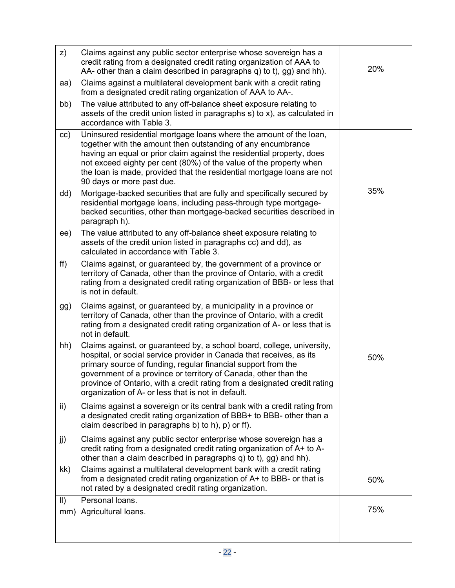<span id="page-21-0"></span>

| z)            | Claims against any public sector enterprise whose sovereign has a<br>credit rating from a designated credit rating organization of AAA to<br>AA- other than a claim described in paragraphs q) to t), gg) and hh).                                                                                                                                                                                                    | 20% |
|---------------|-----------------------------------------------------------------------------------------------------------------------------------------------------------------------------------------------------------------------------------------------------------------------------------------------------------------------------------------------------------------------------------------------------------------------|-----|
| aa)           | Claims against a multilateral development bank with a credit rating<br>from a designated credit rating organization of AAA to AA-.                                                                                                                                                                                                                                                                                    |     |
| bb)           | The value attributed to any off-balance sheet exposure relating to<br>assets of the credit union listed in paragraphs s) to x), as calculated in<br>accordance with Table 3.                                                                                                                                                                                                                                          |     |
| cc)           | Uninsured residential mortgage loans where the amount of the loan,<br>together with the amount then outstanding of any encumbrance<br>having an equal or prior claim against the residential property, does<br>not exceed eighty per cent (80%) of the value of the property when<br>the loan is made, provided that the residential mortgage loans are not<br>90 days or more past due.                              |     |
| dd)           | Mortgage-backed securities that are fully and specifically secured by<br>residential mortgage loans, including pass-through type mortgage-<br>backed securities, other than mortgage-backed securities described in<br>paragraph h).                                                                                                                                                                                  | 35% |
| ee)           | The value attributed to any off-balance sheet exposure relating to<br>assets of the credit union listed in paragraphs cc) and dd), as<br>calculated in accordance with Table 3.                                                                                                                                                                                                                                       |     |
| ff)           | Claims against, or guaranteed by, the government of a province or<br>territory of Canada, other than the province of Ontario, with a credit<br>rating from a designated credit rating organization of BBB- or less that<br>is not in default.                                                                                                                                                                         |     |
| gg)           | Claims against, or guaranteed by, a municipality in a province or<br>territory of Canada, other than the province of Ontario, with a credit<br>rating from a designated credit rating organization of A- or less that is<br>not in default.                                                                                                                                                                           |     |
| hh)           | Claims against, or guaranteed by, a school board, college, university,<br>hospital, or social service provider in Canada that receives, as its<br>primary source of funding, regular financial support from the<br>government of a province or territory of Canada, other than the<br>province of Ontario, with a credit rating from a designated credit rating<br>organization of A- or less that is not in default. | 50% |
| ii)           | Claims against a sovereign or its central bank with a credit rating from<br>a designated credit rating organization of BBB+ to BBB- other than a<br>claim described in paragraphs b) to h), p) or ff).                                                                                                                                                                                                                |     |
| jj)           | Claims against any public sector enterprise whose sovereign has a<br>credit rating from a designated credit rating organization of A+ to A-<br>other than a claim described in paragraphs q) to t), gg) and hh).                                                                                                                                                                                                      |     |
| kk)           | Claims against a multilateral development bank with a credit rating<br>from a designated credit rating organization of A+ to BBB- or that is<br>not rated by a designated credit rating organization.                                                                                                                                                                                                                 | 50% |
| $\parallel$ ) | Personal loans.                                                                                                                                                                                                                                                                                                                                                                                                       |     |
|               | mm) Agricultural loans.                                                                                                                                                                                                                                                                                                                                                                                               | 75% |
|               |                                                                                                                                                                                                                                                                                                                                                                                                                       |     |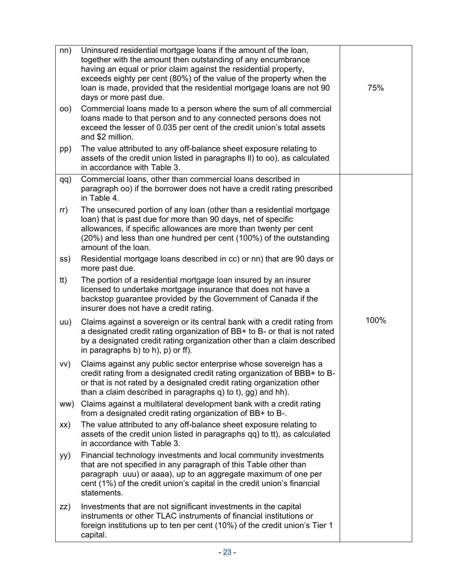<span id="page-22-0"></span>

| nn) | Uninsured residential mortgage loans if the amount of the loan,<br>together with the amount then outstanding of any encumbrance<br>having an equal or prior claim against the residential property,<br>exceeds eighty per cent (80%) of the value of the property when the<br>loan is made, provided that the residential mortgage loans are not 90<br>days or more past due. | 75%  |
|-----|-------------------------------------------------------------------------------------------------------------------------------------------------------------------------------------------------------------------------------------------------------------------------------------------------------------------------------------------------------------------------------|------|
| OO) | Commercial loans made to a person where the sum of all commercial<br>loans made to that person and to any connected persons does not<br>exceed the lesser of 0.035 per cent of the credit union's total assets<br>and \$2 million.                                                                                                                                            |      |
| pp) | The value attributed to any off-balance sheet exposure relating to<br>assets of the credit union listed in paragraphs II) to oo), as calculated<br>in accordance with Table 3.                                                                                                                                                                                                |      |
| qq) | Commercial loans, other than commercial loans described in<br>paragraph oo) if the borrower does not have a credit rating prescribed<br>in Table 4.                                                                                                                                                                                                                           |      |
| rr) | The unsecured portion of any loan (other than a residential mortgage<br>loan) that is past due for more than 90 days, net of specific<br>allowances, if specific allowances are more than twenty per cent<br>(20%) and less than one hundred per cent (100%) of the outstanding<br>amount of the loan.                                                                        |      |
| ss) | Residential mortgage loans described in cc) or nn) that are 90 days or<br>more past due.                                                                                                                                                                                                                                                                                      |      |
| tt) | The portion of a residential mortgage loan insured by an insurer<br>licensed to undertake mortgage insurance that does not have a<br>backstop guarantee provided by the Government of Canada if the<br>insurer does not have a credit rating.                                                                                                                                 |      |
| uu) | Claims against a sovereign or its central bank with a credit rating from<br>a designated credit rating organization of BB+ to B- or that is not rated<br>by a designated credit rating organization other than a claim described<br>in paragraphs b) to h), $p$ ) or ff).                                                                                                     | 100% |
| VV) | Claims against any public sector enterprise whose sovereign has a<br>credit rating from a designated credit rating organization of BBB+ to B-<br>or that is not rated by a designated credit rating organization other<br>than a claim described in paragraphs q) to t), gg) and hh).                                                                                         |      |
| ww) | Claims against a multilateral development bank with a credit rating<br>from a designated credit rating organization of BB+ to B-.                                                                                                                                                                                                                                             |      |
| XX) | The value attributed to any off-balance sheet exposure relating to<br>assets of the credit union listed in paragraphs qq) to tt), as calculated<br>in accordance with Table 3.                                                                                                                                                                                                |      |
| yy) | Financial technology investments and local community investments<br>that are not specified in any paragraph of this Table other than<br>paragraph uuu) or aaaa), up to an aggregate maximum of one per<br>cent (1%) of the credit union's capital in the credit union's financial<br>statements.                                                                              |      |
| ZZ) | Investments that are not significant investments in the capital<br>instruments or other TLAC instruments of financial institutions or<br>foreign institutions up to ten per cent (10%) of the credit union's Tier 1<br>capital.                                                                                                                                               |      |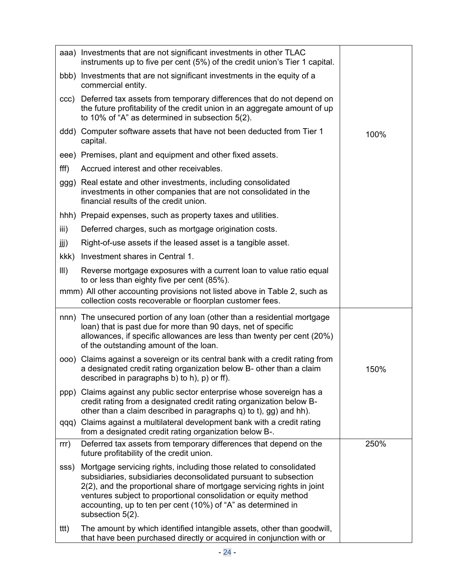<span id="page-23-0"></span>

|      | aaa) Investments that are not significant investments in other TLAC<br>instruments up to five per cent (5%) of the credit union's Tier 1 capital.                                                                                                                                                                                                                       |      |
|------|-------------------------------------------------------------------------------------------------------------------------------------------------------------------------------------------------------------------------------------------------------------------------------------------------------------------------------------------------------------------------|------|
|      | bbb) Investments that are not significant investments in the equity of a<br>commercial entity.                                                                                                                                                                                                                                                                          |      |
| ccc) | Deferred tax assets from temporary differences that do not depend on<br>the future profitability of the credit union in an aggregate amount of up<br>to 10% of "A" as determined in subsection 5(2).                                                                                                                                                                    |      |
|      | ddd) Computer software assets that have not been deducted from Tier 1<br>capital.                                                                                                                                                                                                                                                                                       | 100% |
|      | eee) Premises, plant and equipment and other fixed assets.                                                                                                                                                                                                                                                                                                              |      |
| fff) | Accrued interest and other receivables.                                                                                                                                                                                                                                                                                                                                 |      |
|      | ggg) Real estate and other investments, including consolidated<br>investments in other companies that are not consolidated in the<br>financial results of the credit union.                                                                                                                                                                                             |      |
|      | hhh) Prepaid expenses, such as property taxes and utilities.                                                                                                                                                                                                                                                                                                            |      |
| iii) | Deferred charges, such as mortgage origination costs.                                                                                                                                                                                                                                                                                                                   |      |
| jjj) | Right-of-use assets if the leased asset is a tangible asset.                                                                                                                                                                                                                                                                                                            |      |
| kkk) | Investment shares in Central 1.                                                                                                                                                                                                                                                                                                                                         |      |
| III) | Reverse mortgage exposures with a current loan to value ratio equal<br>to or less than eighty five per cent (85%).                                                                                                                                                                                                                                                      |      |
|      | mmm) All other accounting provisions not listed above in Table 2, such as<br>collection costs recoverable or floorplan customer fees.                                                                                                                                                                                                                                   |      |
|      | nnn) The unsecured portion of any loan (other than a residential mortgage<br>loan) that is past due for more than 90 days, net of specific<br>allowances, if specific allowances are less than twenty per cent (20%)<br>of the outstanding amount of the loan.                                                                                                          |      |
|      | ooo) Claims against a sovereign or its central bank with a credit rating from<br>a designated credit rating organization below B- other than a claim<br>described in paragraphs b) to h), p) or ff).                                                                                                                                                                    | 150% |
| ppp) | Claims against any public sector enterprise whose sovereign has a<br>credit rating from a designated credit rating organization below B-<br>other than a claim described in paragraphs q) to t), gg) and hh).                                                                                                                                                           |      |
|      | qqq) Claims against a multilateral development bank with a credit rating<br>from a designated credit rating organization below B-.                                                                                                                                                                                                                                      |      |
| rrr) | Deferred tax assets from temporary differences that depend on the<br>future profitability of the credit union.                                                                                                                                                                                                                                                          | 250% |
| sss) | Mortgage servicing rights, including those related to consolidated<br>subsidiaries, subsidiaries deconsolidated pursuant to subsection<br>2(2), and the proportional share of mortgage servicing rights in joint<br>ventures subject to proportional consolidation or equity method<br>accounting, up to ten per cent (10%) of "A" as determined in<br>subsection 5(2). |      |
| ttt) | The amount by which identified intangible assets, other than goodwill,<br>that have been purchased directly or acquired in conjunction with or                                                                                                                                                                                                                          |      |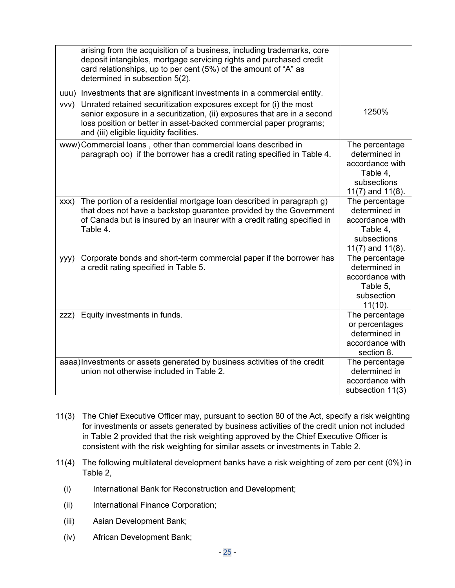<span id="page-24-0"></span>

|      | arising from the acquisition of a business, including trademarks, core<br>deposit intangibles, mortgage servicing rights and purchased credit<br>card relationships, up to per cent (5%) of the amount of "A" as<br>determined in subsection 5(2).              |                                                                                                        |
|------|-----------------------------------------------------------------------------------------------------------------------------------------------------------------------------------------------------------------------------------------------------------------|--------------------------------------------------------------------------------------------------------|
|      | uuu) Investments that are significant investments in a commercial entity.                                                                                                                                                                                       |                                                                                                        |
| VVV) | Unrated retained securitization exposures except for (i) the most<br>senior exposure in a securitization, (ii) exposures that are in a second<br>loss position or better in asset-backed commercial paper programs;<br>and (iii) eligible liquidity facilities. | 1250%                                                                                                  |
|      | www)Commercial loans, other than commercial loans described in<br>paragraph oo) if the borrower has a credit rating specified in Table 4.                                                                                                                       | The percentage<br>determined in<br>accordance with<br>Table 4,<br>subsections<br>$11(7)$ and $11(8)$ . |
| XXX) | The portion of a residential mortgage loan described in paragraph g)<br>that does not have a backstop guarantee provided by the Government<br>of Canada but is insured by an insurer with a credit rating specified in<br>Table 4.                              | The percentage<br>determined in<br>accordance with<br>Table 4,<br>subsections<br>$11(7)$ and $11(8)$ . |
| yyy) | Corporate bonds and short-term commercial paper if the borrower has<br>a credit rating specified in Table 5.                                                                                                                                                    | The percentage<br>determined in<br>accordance with<br>Table 5,<br>subsection<br>$11(10)$ .             |
| ZZZ) | Equity investments in funds.                                                                                                                                                                                                                                    | The percentage<br>or percentages<br>determined in<br>accordance with<br>section 8.                     |
|      | aaaa) Investments or assets generated by business activities of the credit<br>union not otherwise included in Table 2.                                                                                                                                          | The percentage<br>determined in<br>accordance with<br>subsection 11(3)                                 |

- 11(3) The Chief Executive Officer may, pursuant to section 80 of the Act, specify a risk weighting for investments or assets generated by business activities of the credit union not included in Table 2 provided that the risk weighting approved by the Chief Executive Officer is consistent with the risk weighting for similar assets or investments in Table 2.
- 11(4) The following multilateral development banks have a risk weighting of zero per cent (0%) in Table 2,
	- (i) International Bank for Reconstruction and Development;
	- (ii) International Finance Corporation;
	- (iii) Asian Development Bank;
	- (iv) African Development Bank;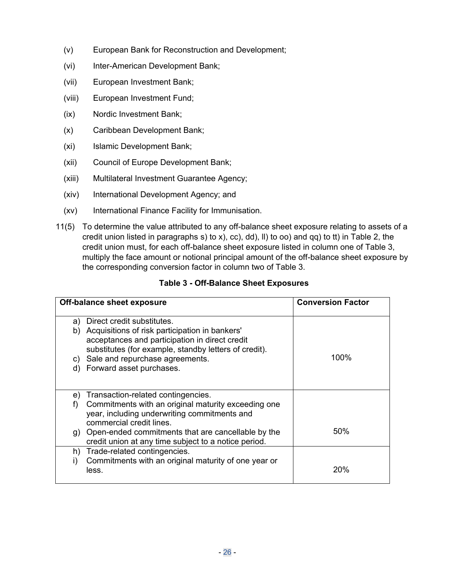- <span id="page-25-0"></span>(v) European Bank for Reconstruction and Development;
- (vi) Inter-American Development Bank;
- (vii) European Investment Bank;
- (viii) European Investment Fund;
- (ix) Nordic Investment Bank;
- (x) Caribbean Development Bank;
- (xi) Islamic Development Bank;
- (xii) Council of Europe Development Bank;
- (xiii) Multilateral Investment Guarantee Agency;
- (xiv) International Development Agency; and
- (xv) International Finance Facility for Immunisation.
- 11(5) To determine the value attributed to any off-balance sheet exposure relating to assets of a credit union listed in paragraphs [s\)](#page-20-0) to [x\)](#page-20-0), [cc\)](#page-21-0), [dd\)](#page-21-0), [ll\)](#page-21-0) to [oo\)](#page-22-0) and [qq\)](#page-22-0) to [tt\)](#page-22-0) in Table 2, the credit union must, for each off-balance sheet exposure listed in column one of Table 3, multiply the face amount or notional principal amount of the off-balance sheet exposure by the corresponding conversion factor in column two of Table 3.

### **Table 3 - Off-Balance Sheet Exposures**

|          | <b>Off-balance sheet exposure</b>                                                                                                                                                       | <b>Conversion Factor</b> |
|----------|-----------------------------------------------------------------------------------------------------------------------------------------------------------------------------------------|--------------------------|
| a)<br>b) | Direct credit substitutes.<br>Acquisitions of risk participation in bankers'<br>acceptances and participation in direct credit<br>substitutes (for example, standby letters of credit). |                          |
|          | c) Sale and repurchase agreements.                                                                                                                                                      | 100%                     |
|          | d) Forward asset purchases.                                                                                                                                                             |                          |
| e)       | Transaction-related contingencies.                                                                                                                                                      |                          |
| f)       | Commitments with an original maturity exceeding one<br>year, including underwriting commitments and<br>commercial credit lines.                                                         |                          |
|          | g) Open-ended commitments that are cancellable by the<br>credit union at any time subject to a notice period.                                                                           | 50%                      |
| h)       | Trade-related contingencies.                                                                                                                                                            |                          |
| i)       | Commitments with an original maturity of one year or<br>less.                                                                                                                           | 20%                      |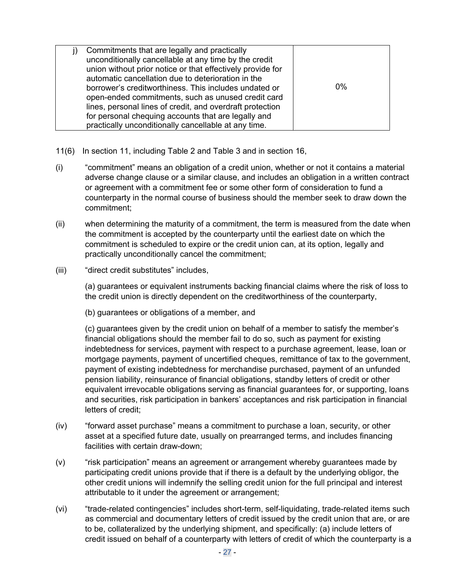| Commitments that are legally and practically<br>unconditionally cancellable at any time by the credit<br>union without prior notice or that effectively provide for<br>automatic cancellation due to deterioration in the<br>borrower's creditworthiness. This includes undated or<br>open-ended commitments, such as unused credit card<br>lines, personal lines of credit, and overdraft protection<br>for personal chequing accounts that are legally and | 0% |
|--------------------------------------------------------------------------------------------------------------------------------------------------------------------------------------------------------------------------------------------------------------------------------------------------------------------------------------------------------------------------------------------------------------------------------------------------------------|----|
| practically unconditionally cancellable at any time.                                                                                                                                                                                                                                                                                                                                                                                                         |    |

- 11(6) In section [11](#page-19-0), including Table 2 and Table 3 and in section [16,](#page-31-0)
- (i) "commitment" means an obligation of a credit union, whether or not it contains a material adverse change clause or a similar clause, and includes an obligation in a written contract or agreement with a commitment fee or some other form of consideration to fund a counterparty in the normal course of business should the member seek to draw down the commitment;
- (ii) when determining the maturity of a commitment, the term is measured from the date when the commitment is accepted by the counterparty until the earliest date on which the commitment is scheduled to expire or the credit union can, at its option, legally and practically unconditionally cancel the commitment;
- (iii) "direct credit substitutes" includes,

(a) guarantees or equivalent instruments backing financial claims where the risk of loss to the credit union is directly dependent on the creditworthiness of the counterparty,

(b) guarantees or obligations of a member, and

(c) guarantees given by the credit union on behalf of a member to satisfy the member's financial obligations should the member fail to do so, such as payment for existing indebtedness for services, payment with respect to a purchase agreement, lease, loan or mortgage payments, payment of uncertified cheques, remittance of tax to the government, payment of existing indebtedness for merchandise purchased, payment of an unfunded pension liability, reinsurance of financial obligations, standby letters of credit or other equivalent irrevocable obligations serving as financial guarantees for, or supporting, loans and securities, risk participation in bankers' acceptances and risk participation in financial letters of credit;

- (iv) "forward asset purchase" means a commitment to purchase a loan, security, or other asset at a specified future date, usually on prearranged terms, and includes financing facilities with certain draw-down;
- (v) "risk participation" means an agreement or arrangement whereby guarantees made by participating credit unions provide that if there is a default by the underlying obligor, the other credit unions will indemnify the selling credit union for the full principal and interest attributable to it under the agreement or arrangement;
- (vi) "trade-related contingencies" includes short-term, self-liquidating, trade-related items such as commercial and documentary letters of credit issued by the credit union that are, or are to be, collateralized by the underlying shipment, and specifically: (a) include letters of credit issued on behalf of a counterparty with letters of credit of which the counterparty is a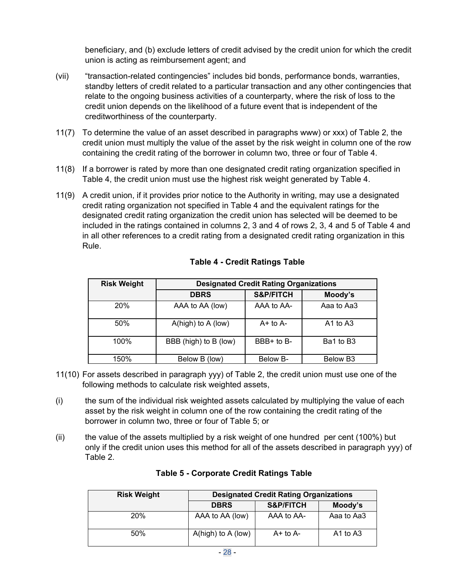beneficiary, and (b) exclude letters of credit advised by the credit union for which the credit union is acting as reimbursement agent; and

- <span id="page-27-0"></span>(vii) "transaction-related contingencies" includes bid bonds, performance bonds, warranties, standby letters of credit related to a particular transaction and any other contingencies that relate to the ongoing business activities of a counterparty, where the risk of loss to the credit union depends on the likelihood of a future event that is independent of the creditworthiness of the counterparty.
- 11(7) To determine the value of an asset described in paragraphs [www\)](#page-24-0) or [xxx\)](#page-24-0) of Table 2, the credit union must multiply the value of the asset by the risk weight in column one of the row containing the credit rating of the borrower in column two, three or four of Table 4.
- 11(8) If a borrower is rated by more than one designated credit rating organization specified in Table 4, the credit union must use the highest risk weight generated by Table 4.
- 11(9) A credit union, if it provides prior notice to the Authority in writing, may use a designated credit rating organization not specified in Table 4 and the equivalent ratings for the designated credit rating organization the credit union has selected will be deemed to be included in the ratings contained in columns 2, 3 and 4 of rows 2, 3, 4 and 5 of Table 4 and in all other references to a credit rating from a designated credit rating organization in this Rule.

| <b>Risk Weight</b> | <b>Designated Credit Rating Organizations</b> |                      |                      |
|--------------------|-----------------------------------------------|----------------------|----------------------|
|                    | <b>DBRS</b>                                   | <b>S&amp;P/FITCH</b> | Moody's              |
| 20%                | AAA to AA (low)                               | AAA to AA-           | Aaa to Aa3           |
| 50%                | $A(high)$ to $A(how)$                         | $A+$ to $A-$         | A1 to A3             |
| 100%               | BBB (high) to B (low)                         | BBB+ to B-           | Ba1 to B3            |
| 150%               | Below B (low)                                 | Below B-             | Below B <sub>3</sub> |

### **Table 4 - Credit Ratings Table**

- 11(10) For assets described in paragraph [yyy\)](#page-24-0) of Table 2, the credit union must use one of the following methods to calculate risk weighted assets,
- (i) the sum of the individual risk weighted assets calculated by multiplying the value of each asset by the risk weight in column one of the row containing the credit rating of the borrower in column two, three or four of Table 5; or
- (ii) the value of the assets multiplied by a risk weight of one hundred per cent (100%) but only if the credit union uses this method for all of the assets described in paragraph [yyy\)](#page-24-0) of Table 2.

| <b>Risk Weight</b> | <b>Designated Credit Rating Organizations</b> |                      |            |
|--------------------|-----------------------------------------------|----------------------|------------|
|                    | <b>DBRS</b>                                   | <b>S&amp;P/FITCH</b> | Moody's    |
| 20%                | AAA to AA (low)                               | AAA to AA-           | Aaa to Aa3 |
| 50%                | $A(high)$ to $A(how)$                         | $A+$ to $A-$         | A1 to A3   |

#### **Table 5 - Corporate Credit Ratings Table**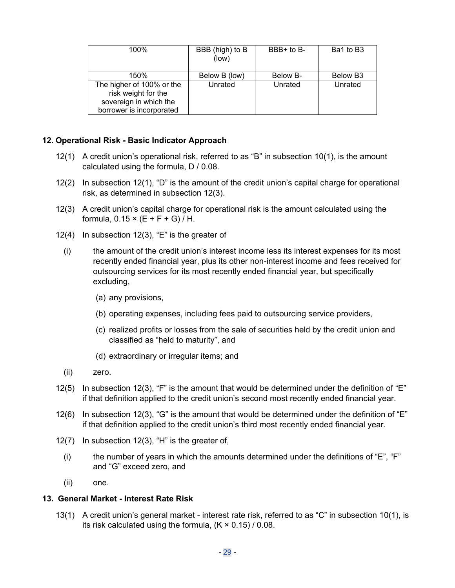<span id="page-28-0"></span>

| 100%                                                                                                   | BBB (high) to B<br>(low) | $BBB+$ to $B-$ | Ba1 to B3            |
|--------------------------------------------------------------------------------------------------------|--------------------------|----------------|----------------------|
| 150%                                                                                                   | Below B (low)            | Below B-       | Below B <sub>3</sub> |
| The higher of 100% or the<br>risk weight for the<br>sovereign in which the<br>borrower is incorporated | Unrated                  | Unrated        | Unrated              |

### **12. Operational Risk - Basic Indicator Approach**

- 12(1) A credit union's operational risk, referred to as "B" in subsection [10\(1\)](#page-19-0), is the amount calculated using the formula, D / 0.08.
- 12(2) In subsection 12(1), "D" is the amount of the credit union's capital charge for operational risk, as determined in subsection 12(3).
- 12(3) A credit union's capital charge for operational risk is the amount calculated using the formula,  $0.15 \times (E + F + G) / H$ .
- 12(4) In subsection 12(3), "E" is the greater of
	- (i) the amount of the credit union's interest income less its interest expenses for its most recently ended financial year, plus its other non-interest income and fees received for outsourcing services for its most recently ended financial year, but specifically excluding,
		- (a) any provisions,
		- (b) operating expenses, including fees paid to outsourcing service providers,
		- (c) realized profits or losses from the sale of securities held by the credit union and classified as "held to maturity", and
		- (d) extraordinary or irregular items; and
	- (ii) zero.
- 12(5) In subsection 12(3), "F" is the amount that would be determined under the definition of "E" if that definition applied to the credit union's second most recently ended financial year.
- 12(6) In subsection 12(3), "G" is the amount that would be determined under the definition of "E" if that definition applied to the credit union's third most recently ended financial year.
- 12(7) In subsection 12(3), "H" is the greater of,
	- (i) the number of years in which the amounts determined under the definitions of "E", "F" and "G" exceed zero, and
	- (ii) one.

#### **13. General Market - Interest Rate Risk**

13(1) A credit union's general market - interest rate risk, referred to as "C" in subsection [10\(1\)](#page-19-0), is its risk calculated using the formula,  $(K \times 0.15)$  / 0.08.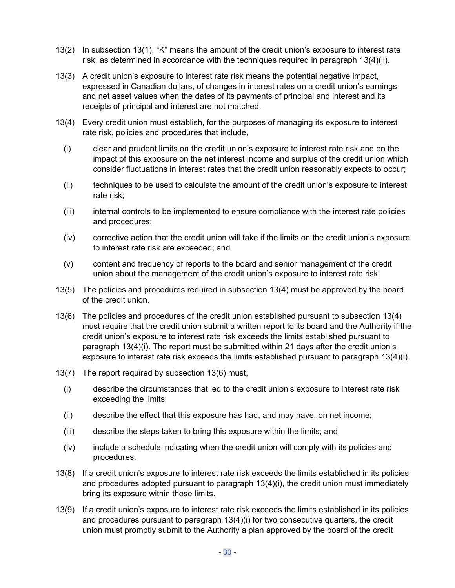- <span id="page-29-0"></span>13(2) In subsection [13\(1\)](#page-28-0), "K" means the amount of the credit union's exposure to interest rate risk, as determined in accordance with the techniques required in paragraph 13(4)(ii).
- 13(3) A credit union's exposure to interest rate risk means the potential negative impact, expressed in Canadian dollars, of changes in interest rates on a credit union's earnings and net asset values when the dates of its payments of principal and interest and its receipts of principal and interest are not matched.
- 13(4) Every credit union must establish, for the purposes of managing its exposure to interest rate risk, policies and procedures that include,
	- (i) clear and prudent limits on the credit union's exposure to interest rate risk and on the impact of this exposure on the net interest income and surplus of the credit union which consider fluctuations in interest rates that the credit union reasonably expects to occur;
	- (ii) techniques to be used to calculate the amount of the credit union's exposure to interest rate risk;
	- (iii) internal controls to be implemented to ensure compliance with the interest rate policies and procedures;
	- (iv) corrective action that the credit union will take if the limits on the credit union's exposure to interest rate risk are exceeded; and
	- (v) content and frequency of reports to the board and senior management of the credit union about the management of the credit union's exposure to interest rate risk.
- 13(5) The policies and procedures required in subsection 13(4) must be approved by the board of the credit union.
- 13(6) The policies and procedures of the credit union established pursuant to subsection 13(4) must require that the credit union submit a written report to its board and the Authority if the credit union's exposure to interest rate risk exceeds the limits established pursuant to paragraph 13(4)(i). The report must be submitted within 21 days after the credit union's exposure to interest rate risk exceeds the limits established pursuant to paragraph 13(4)(i).
- 13(7) The report required by subsection 13(6) must,
	- (i) describe the circumstances that led to the credit union's exposure to interest rate risk exceeding the limits;
	- (ii) describe the effect that this exposure has had, and may have, on net income;
	- (iii) describe the steps taken to bring this exposure within the limits; and
	- (iv) include a schedule indicating when the credit union will comply with its policies and procedures.
- 13(8) If a credit union's exposure to interest rate risk exceeds the limits established in its policies and procedures adopted pursuant to paragraph 13(4)(i), the credit union must immediately bring its exposure within those limits.
- 13(9) If a credit union's exposure to interest rate risk exceeds the limits established in its policies and procedures pursuant to paragraph 13(4)(i) for two consecutive quarters, the credit union must promptly submit to the Authority a plan approved by the board of the credit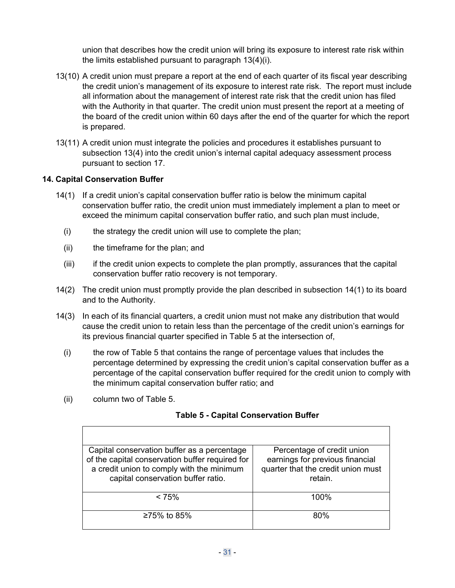union that describes how the credit union will bring its exposure to interest rate risk within the limits established pursuant to paragraph [13\(4\)\(i\).](#page-29-0)

- <span id="page-30-0"></span>13(10) A credit union must prepare a report at the end of each quarter of its fiscal year describing the credit union's management of its exposure to interest rate risk. The report must include all information about the management of interest rate risk that the credit union has filed with the Authority in that quarter. The credit union must present the report at a meeting of the board of the credit union within 60 days after the end of the quarter for which the report is prepared.
- 13(11) A credit union must integrate the policies and procedures it establishes pursuant to subsection [13\(4\)](#page-29-0) into the credit union's internal capital adequacy assessment process pursuant to section [17](#page-32-0).

### **14. Capital Conservation Buffer**

- 14(1) If a credit union's capital conservation buffer ratio is below the minimum capital conservation buffer ratio, the credit union must immediately implement a plan to meet or exceed the minimum capital conservation buffer ratio, and such plan must include,
	- (i) the strategy the credit union will use to complete the plan;
	- (ii) the timeframe for the plan; and
	- (iii) if the credit union expects to complete the plan promptly, assurances that the capital conservation buffer ratio recovery is not temporary.
- 14(2) The credit union must promptly provide the plan described in subsection 14(1) to its board and to the Authority.
- 14(3) In each of its financial quarters, a credit union must not make any distribution that would cause the credit union to retain less than the percentage of the credit union's earnings for its previous financial quarter specified in Table 5 at the intersection of,
	- (i) the row of Table 5 that contains the range of percentage values that includes the percentage determined by expressing the credit union's capital conservation buffer as a percentage of the capital conservation buffer required for the credit union to comply with the minimum capital conservation buffer ratio; and
	- (ii) column two of Table 5.

### **Table 5 - Capital Conservation Buffer**

| Capital conservation buffer as a percentage<br>of the capital conservation buffer required for<br>a credit union to comply with the minimum<br>capital conservation buffer ratio. | Percentage of credit union<br>earnings for previous financial<br>quarter that the credit union must<br>retain. |
|-----------------------------------------------------------------------------------------------------------------------------------------------------------------------------------|----------------------------------------------------------------------------------------------------------------|
| $< 75\%$                                                                                                                                                                          | 100%                                                                                                           |
| ≥75% to 85%                                                                                                                                                                       | 80 <sup>%</sup>                                                                                                |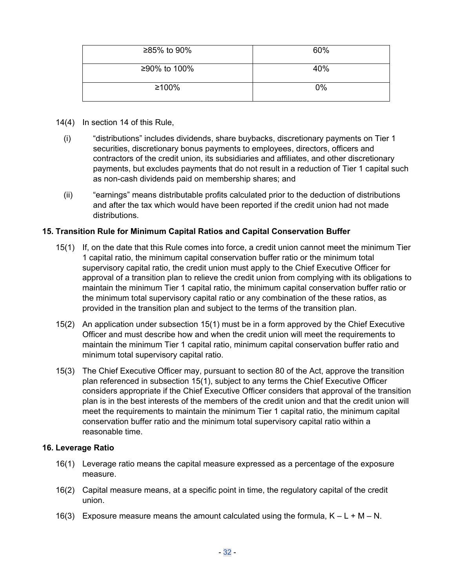<span id="page-31-0"></span>

| ≥85% to 90%  | 60%   |
|--------------|-------|
| ≥90% to 100% | 40%   |
| ≥100%        | $0\%$ |

- 14(4) In section [14](#page-30-0) of this Rule,
	- (i) "distributions" includes dividends, share buybacks, discretionary payments on Tier 1 securities, discretionary bonus payments to employees, directors, officers and contractors of the credit union, its subsidiaries and affiliates, and other discretionary payments, but excludes payments that do not result in a reduction of Tier 1 capital such as non-cash dividends paid on membership shares; and
	- (ii) "earnings" means distributable profits calculated prior to the deduction of distributions and after the tax which would have been reported if the credit union had not made distributions.

### **15. Transition Rule for Minimum Capital Ratios and Capital Conservation Buffer**

- 15(1) If, on the date that this Rule comes into force, a credit union cannot meet the minimum Tier 1 capital ratio, the minimum capital conservation buffer ratio or the minimum total supervisory capital ratio, the credit union must apply to the Chief Executive Officer for approval of a transition plan to relieve the credit union from complying with its obligations to maintain the minimum Tier 1 capital ratio, the minimum capital conservation buffer ratio or the minimum total supervisory capital ratio or any combination of the these ratios, as provided in the transition plan and subject to the terms of the transition plan.
- 15(2) An application under subsection 15(1) must be in a form approved by the Chief Executive Officer and must describe how and when the credit union will meet the requirements to maintain the minimum Tier 1 capital ratio, minimum capital conservation buffer ratio and minimum total supervisory capital ratio.
- 15(3) The Chief Executive Officer may, pursuant to section 80 of the Act, approve the transition plan referenced in subsection 15(1), subject to any terms the Chief Executive Officer considers appropriate if the Chief Executive Officer considers that approval of the transition plan is in the best interests of the members of the credit union and that the credit union will meet the requirements to maintain the minimum Tier 1 capital ratio, the minimum capital conservation buffer ratio and the minimum total supervisory capital ratio within a reasonable time.

#### **16. Leverage Ratio**

- 16(1) Leverage ratio means the capital measure expressed as a percentage of the exposure measure.
- 16(2) Capital measure means, at a specific point in time, the regulatory capital of the credit union.
- 16(3) Exposure measure means the amount calculated using the formula,  $K L + M N$ .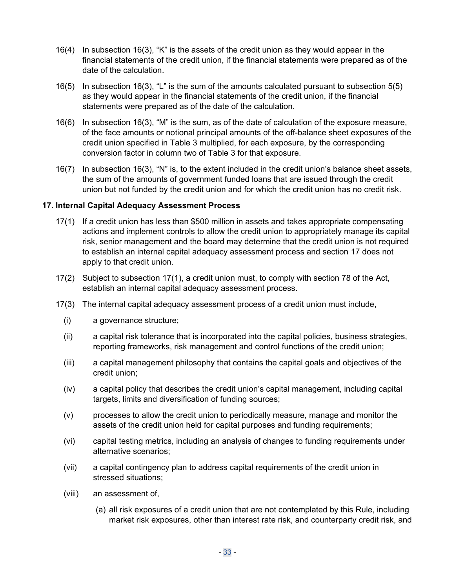- <span id="page-32-0"></span>16(4) In subsection [16\(3\)](#page-31-0), "K" is the assets of the credit union as they would appear in the financial statements of the credit union, if the financial statements were prepared as of the date of the calculation.
- 16(5) In subsection [16\(3\)](#page-31-0), "L" is the sum of the amounts calculated pursuant to subsection [5\(5\)](#page-12-0)  as they would appear in the financial statements of the credit union, if the financial statements were prepared as of the date of the calculation.
- 16(6) In subsection [16\(3\)](#page-31-0), "M" is the sum, as of the date of calculation of the exposure measure, of the face amounts or notional principal amounts of the off-balance sheet exposures of the credit union specified in Table 3 multiplied, for each exposure, by the corresponding conversion factor in column two of Table 3 for that exposure.
- 16(7) In subsection [16\(3\)](#page-31-0), "N" is, to the extent included in the credit union's balance sheet assets, the sum of the amounts of government funded loans that are issued through the credit union but not funded by the credit union and for which the credit union has no credit risk.

#### **17. Internal Capital Adequacy Assessment Process**

- 17(1) If a credit union has less than \$500 million in assets and takes appropriate compensating actions and implement controls to allow the credit union to appropriately manage its capital risk, senior management and the board may determine that the credit union is not required to establish an internal capital adequacy assessment process and section 17 does not apply to that credit union.
- 17(2) Subject to subsection 17(1), a credit union must, to comply with section 78 of the Act, establish an internal capital adequacy assessment process.
- 17(3) The internal capital adequacy assessment process of a credit union must include,
	- (i) a governance structure;
	- (ii) a capital risk tolerance that is incorporated into the capital policies, business strategies, reporting frameworks, risk management and control functions of the credit union;
	- (iii) a capital management philosophy that contains the capital goals and objectives of the credit union;
	- (iv) a capital policy that describes the credit union's capital management, including capital targets, limits and diversification of funding sources;
	- (v) processes to allow the credit union to periodically measure, manage and monitor the assets of the credit union held for capital purposes and funding requirements;
	- (vi) capital testing metrics, including an analysis of changes to funding requirements under alternative scenarios;
	- (vii) a capital contingency plan to address capital requirements of the credit union in stressed situations;
	- (viii) an assessment of,
		- (a) all risk exposures of a credit union that are not contemplated by this Rule, including market risk exposures, other than interest rate risk, and counterparty credit risk, and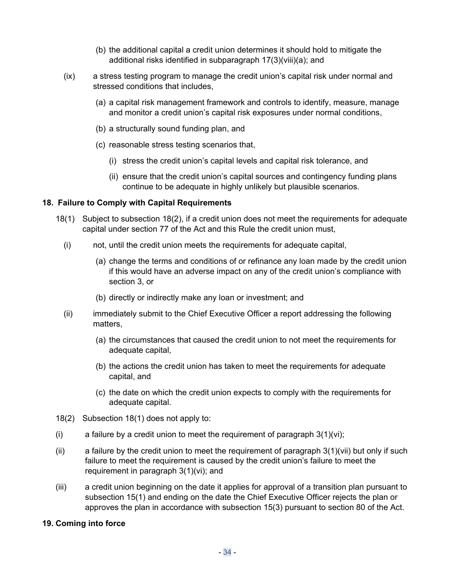- (b) the additional capital a credit union determines it should hold to mitigate the additional risks identified in subparagraph [17\(3\)\(viii\)\(a\);](#page-32-0) and
- <span id="page-33-0"></span>(ix) a stress testing program to manage the credit union's capital risk under normal and stressed conditions that includes,
	- (a) a capital risk management framework and controls to identify, measure, manage and monitor a credit union's capital risk exposures under normal conditions,
	- (b) a structurally sound funding plan, and
	- (c) reasonable stress testing scenarios that,
		- (i) stress the credit union's capital levels and capital risk tolerance, and
		- (ii) ensure that the credit union's capital sources and contingency funding plans continue to be adequate in highly unlikely but plausible scenarios.

#### **18. Failure to Comply with Capital Requirements**

- 18(1) Subject to subsection 18(2), if a credit union does not meet the requirements for adequate capital under section 77 of the Act and this Rule the credit union must,
	- (i) not, until the credit union meets the requirements for adequate capital,
		- (a) change the terms and conditions of or refinance any loan made by the credit union if this would have an adverse impact on any of the credit union's compliance with section [3](#page-8-0), or
		- (b) directly or indirectly make any loan or investment; and
	- (ii) immediately submit to the Chief Executive Officer a report addressing the following matters,
		- (a) the circumstances that caused the credit union to not meet the requirements for adequate capital,
		- (b) the actions the credit union has taken to meet the requirements for adequate capital, and
		- (c) the date on which the credit union expects to comply with the requirements for adequate capital.
- 18(2) Subsection 18(1) does not apply to:
- (i) a failure by a credit union to meet the requirement of paragraph  $3(1)(vi)$ ;
- (ii) a failure by the credit union to meet the requirement of paragraph  $3(1)(\n)$  but only if such failure to meet the requirement is caused by the credit union's failure to meet the requirement in paragraph [3\(1\)\(vi\);](#page-9-0) and
- (iii) a credit union beginning on the date it applies for approval of a transition plan pursuant to subsection [15\(1\)](#page-31-0) and ending on the date the Chief Executive Officer rejects the plan or approves the plan in accordance with subsection [15\(3\)](#page-31-0) pursuant to section 80 of the Act.

#### **19. Coming into force**